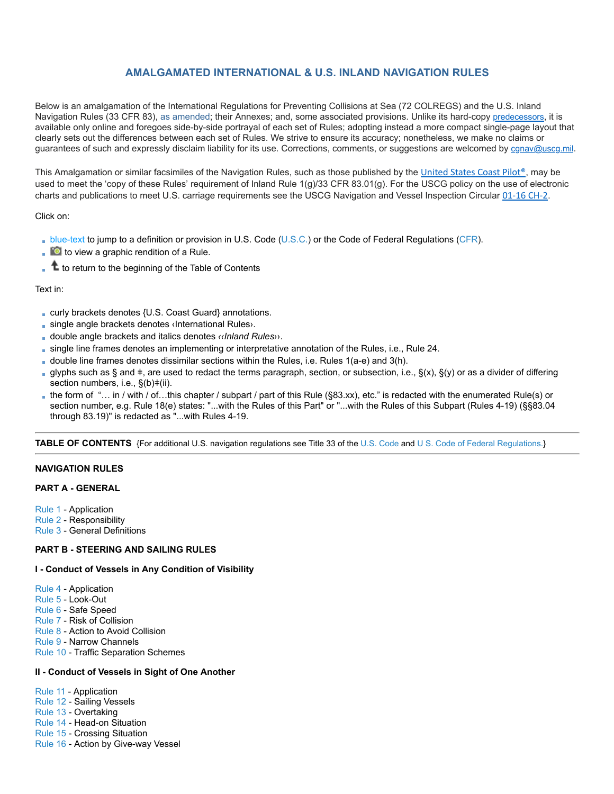# **AMALGAMATED INTERNATIONAL & U.S. INLAND NAVIGATION RULES**

Below is an amalgamation of the International Regulations for Preventing Collisions at Sea (72 COLREGS) and the U.S. Inland Navigation Rules (33 CFR 83), [as amended;](#page-29-0) their Annexes; and, some associated provisions. Unlike its hard-copy [predecessors](https://www.navcen.uscg.gov/?pageName=navRuleChanges), it is available only online and foregoes side-by-side portrayal of each set of Rules; adopting instead a more compact single-page layout that clearly sets out the differences between each set of Rules. We strive to ensure its accuracy; nonetheless, we make no claims or guarantees of such and expressly disclaim liability for its use. Corrections, comments, or suggestions are welcomed by conav@uscg.mil.

This Amalgamation or similar facsimiles of the Navigation Rules, such as those published by the [United](https://nauticalcharts.noaa.gov/publications/coast-pilot/index.html) States Coast Pilot®, may be used to meet the 'copy of these Rules' requirement of Inland Rule 1(g)/33 CFR 83.01(g). For the USCG policy on the use of electronic charts and publications to meet U.S. carriage requirements see the USCG Navigation and Vessel Inspection Circular [01-16](https://www.dco.uscg.mil/Portals/9/DCO%20Documents/5p/5ps/NVIC/2016/NVIC_01-16_Ch-2_Final_2020-05-21.pdf?ver=2020-05-26-172404-563) CH-2.

#### Click on:

- blue-text to jump to a definition or provision in U.S. Code [\(U.S.C.](https://www.govinfo.gov/app/collection/USCODE)) or the Code of Federal Regulations [\(CFR\)](https://www.ecfr.gov/cgi-bin/ECFR?page=browse).
- $\blacksquare$  to view a graphic rendition of a Rule.
- $t$  to return to the beginning of the Table of Contents

### Text in:

- curly brackets denotes {U.S. Coast Guard} annotations.
- single angle brackets denotes <lnternational Rules>.
- double angle brackets and italics denotes *‹‹Inland Rules*››.
- single line frames denotes an implementing or interpretative annotation of the Rules, i.e., Rule 24.
- double line frames denotes dissimilar sections within the Rules, i.e. Rules 1(a-e) and 3(h).
- glyphs such as § and  $\pm$ , are used to redact the terms paragraph, section, or subsection, i.e., §(x), §(y) or as a divider of differing section numbers, i.e., §(b)‡(ii).
- <span id="page-0-0"></span>the form of "… in / with / of…this chapter / subpart / part of this Rule (§83.xx), etc." is redacted with the enumerated Rule(s) or section number, e.g. Rule 18(e) states: "...with the Rules of this Part" or "...with the Rules of this Subpart (Rules 4-19) (§§83.04 through 83.19)" is redacted as "...with Rules 4-19.

**TABLE OF CONTENTS** {For additional U.S. navigation regulations see Title 33 of the [U.S. Code](https://www.govinfo.gov/content/pkg/USCODE-2011-title33/html/USCODE-2011-title33.htm) and [U S. Code of Federal Regulations.}](https://www.ecfr.gov/cgi-bin/text-idx?SID=1b5be4393570df238d19086ffd2c752a&mc=true&tpl=/ecfrbrowse/Title33/33tab_02.tpl)

### **NAVIGATION RULES**

### **PART A - GENERAL**

[Rule 1](#page-2-0) - Application

[Rule 2](#page-3-0) - Responsibility

[Rule 3](#page-3-1) - General Definitions

### **PART B - STEERING AND SAILING RULES**

### **I - Conduct of Vessels in Any Condition of Visibility**

[Rule 4](#page-5-0) - Application [Rule 5](#page-5-1) - Look-Out [Rule 6](#page-5-2) - Safe Speed [Rule 7](#page-5-3) - Risk of Collision [Rule 8](#page-5-4) - Action to Avoid Collision [Rule 9](#page-6-0) - Narrow Channels [Rule 10](#page-6-1) - Traffic Separation Schemes

## **II - Conduct of Vessels in Sight of One Another**

Rule 11 - Application Rule 12 - Sailing Vessels [Rule 13](#page-7-0) - Overtaking [Rule 14](#page-7-0) - Head-on Situation [Rule 15](#page-8-0) - Crossing Situation [Rule 16](#page-8-1) - Action by Give-way Vessel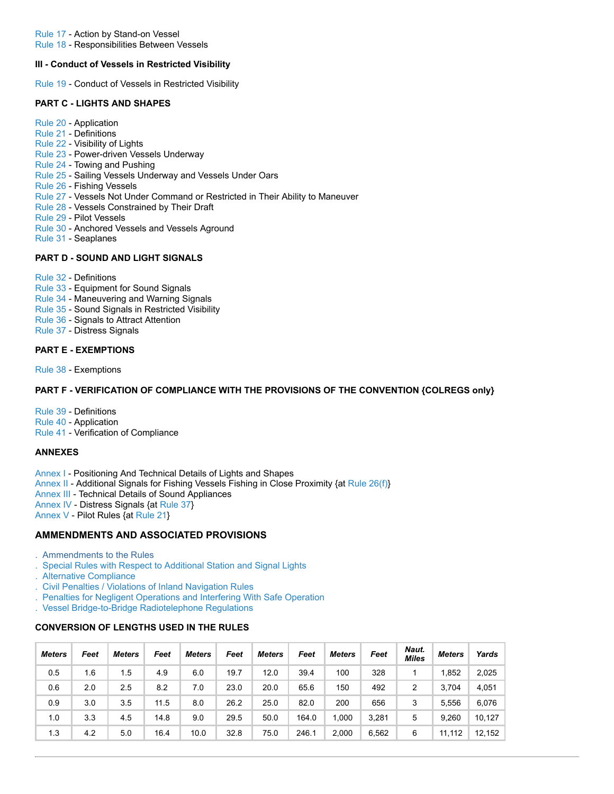# **III - Conduct of Vessels in Restricted Visibility**

[Rule 19](#page-9-0) - Conduct of Vessels in Restricted Visibility

# **PART C - LIGHTS AND SHAPES**

- [Rule 20](#page-9-1) Application
- [Rule 21](#page-10-0) Definitions
- [Rule 22](#page-10-1) Visibility of Lights
- [Rule 23](#page-10-2) Power-driven Vessels Underway
- [Rule 24](#page-11-0) Towing and Pushing
- [Rule 25](#page-13-0) Sailing Vessels Underway and Vessels Under Oars
- [Rule 26](#page-14-0) Fishing Vessels
- [Rule 27](#page-14-1) Vessels Not Under Command or Restricted in Their Ability to Maneuver
- [Rule 28](#page-15-0) Vessels Constrained by Their Draft
- [Rule 29](#page-16-0) Pilot Vessels
- [Rule 30](#page-16-1) Anchored Vessels and Vessels Aground
- [Rule 31](#page-17-0) Seaplanes

## **PART D - SOUND AND LIGHT SIGNALS**

- [Rule 32](#page-17-1) Definitions
- [Rule 33](#page-17-1) Equipment for Sound Signals
- [Rule 34](#page-17-1) Maneuvering and Warning Signals
- [Rule 35](#page-19-0) Sound Signals in Restricted Visibility
- [Rule 36](#page-20-0) Signals to Attract Attention
- [Rule 37](#page-20-1) Distress Signals

## **PART E - EXEMPTIONS**

[Rule 38](#page-21-0) - Exemptions

## **PART F - VERIFICATION OF COMPLIANCE WITH THE PROVISIONS OF THE CONVENTION {COLREGS only}**

[Rule 39](#page-22-0) - Definitions [Rule 40](#page-22-1) - Application [Rule 41](#page-23-0) - Verification of Compliance

# **ANNEXES**

[Annex I](#page-23-1) - Positioning And Technical Details of Lights and Shapes

- [Annex II](#page-27-0) Additional Signals for Fishing Vessels Fishing in Close Proximity {at [Rule 26\(f\)}](#page-14-0)
- [Annex III](#page-27-1) Technical Details of Sound Appliances
- [Annex IV](#page-20-2)  Distress Signals {at [Rule 37](#page-20-1)}
- [Annex V](#page-29-1) Pilot Rules {at [Rule 21](#page-10-0)}

# **AMMENDMENTS AND ASSOCIATED PROVISIONS**

- [. Ammendments to the Rules](#page-29-0)
- [. Special Rules with Respect to Additional Station and Signal Lights](#page-30-0)
- [. Alternative Compliance](#page-31-0)
- [. Civil Penalties / Violations of Inland Navigation Rules](#page-33-0)
- [. Penalties for Negligent Operations and Interfering With Safe Operation](#page-33-0)
- [. Vessel Bridge-to-Bridge Radiotelephone Regulations](#page-34-0)

# **CONVERSION OF LENGTHS USED IN THE RULES**

| <b>Meters</b> | Feet | <b>Meters</b> | Feet | <b>Meters</b> | Feet | <b>Meters</b> | Feet  | <b>Meters</b> | Feet  | Naut.<br><b>Miles</b> | <b>Meters</b> | Yards  |
|---------------|------|---------------|------|---------------|------|---------------|-------|---------------|-------|-----------------------|---------------|--------|
| 0.5           | 1.6  | 1.5           | 4.9  | 6.0           | 19.7 | 12.0          | 39.4  | 100           | 328   |                       | 1.852         | 2,025  |
| 0.6           | 2.0  | 2.5           | 8.2  | 7.0           | 23.0 | 20.0          | 65.6  | 150           | 492   | າ                     | 3.704         | 4,051  |
| 0.9           | 3.0  | 3.5           | 11.5 | 8.0           | 26.2 | 25.0          | 82.0  | 200           | 656   | 3                     | 5,556         | 6,076  |
| 1.0           | 3.3  | 4.5           | 14.8 | 9.0           | 29.5 | 50.0          | 164.0 | 1.000         | 3,281 | 5                     | 9,260         | 10,127 |
| 1.3           | 4.2  | 5.0           | 16.4 | 10.0          | 32.8 | 75.0          | 246.1 | 2,000         | 6,562 | 6                     | 11,112        | 12,152 |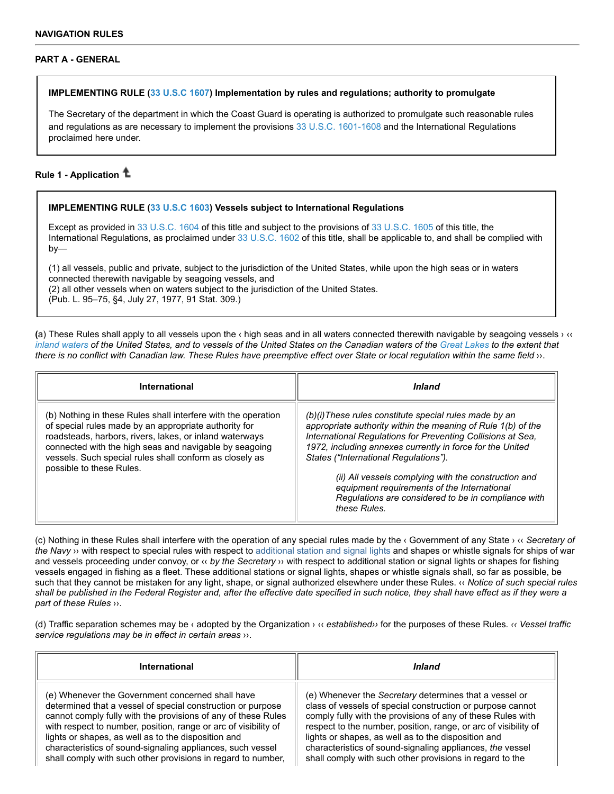### **PART A - GENERAL**

#### **IMPLEMENTING RULE ([33 U.S.C 1607](https://uscode.house.gov/view.xhtml?req=granuleid:USC-prelim-title33-section1607&num=0&edition=prelim)) Implementation by rules and regulations; authority to promulgate**

The Secretary of the department in which the Coast Guard is operating is authorized to promulgate such reasonable rules and regulations as are necessary to implement the provisions [33 U.S.C. 1601-1608](https://uscode.house.gov/view.xhtml;jsessionid=432D2961857CBD0C0C88B24F1EBF5821?req=granuleid%3AUSC-prelim-title33-chapter30&saved=%7CZ3JhbnVsZWlkOlVTQy1wcmVsaW0tdGl0bGUzMy1zZWN0aW9uMTYwNw%3D%3D%7C%7C%7C0%7Cfalse%7Cprelim&edition=prelim) and the International Regulations proclaimed here under.

## <span id="page-2-0"></span>**Rule 1 - Application**

#### **IMPLEMENTING RULE ([33 U.S.C 1603](https://uscode.house.gov/view.xhtml?req=granuleid:USC-prelim-title33-section1603&num=0&edition=prelim)) Vessels subject to International Regulations**

Except as provided in [33 U.S.C. 1604](https://uscode.house.gov/view.xhtml?req=granuleid:USC-prelim-title33-section1604&num=0&edition=prelim) of this title and subject to the provisions of [33 U.S.C. 1605](https://uscode.house.gov/view.xhtml?req=granuleid:USC-prelim-title33-section1605&num=0&edition=prelim) of this title, the International Regulations, as proclaimed under [33 U.S.C. 1602](https://uscode.house.gov/view.xhtml?req=granuleid:USC-prelim-title33-section1602&num=0&edition=prelim) of this title, shall be applicable to, and shall be complied with by—

(1) all vessels, public and private, subject to the jurisdiction of the United States, while upon the high seas or in waters connected therewith navigable by seagoing vessels, and (2) all other vessels when on waters subject to the jurisdiction of the United States. (Pub. L. 95–75, §4, July 27, 1977, 91 Stat. 309.)

**(**a) These Rules shall apply to all vessels upon the ‹ high seas and in all waters connected therewith navigable by seagoing vessels › ‹‹ *[inland waters](#page-4-0) of the United States, and to vessels of the United States on the Canadian waters of the [Great Lakes](#page-4-1) to the extent that there is no conflict with Canadian law. These Rules have preemptive effect over State or local regulation within the same field* ››.

| International                                                                                                                                                                                                                                                                                                                      | <i><b>Inland</b></i>                                                                                                                                                                                                                                                                                                                                                                                                                                                        |
|------------------------------------------------------------------------------------------------------------------------------------------------------------------------------------------------------------------------------------------------------------------------------------------------------------------------------------|-----------------------------------------------------------------------------------------------------------------------------------------------------------------------------------------------------------------------------------------------------------------------------------------------------------------------------------------------------------------------------------------------------------------------------------------------------------------------------|
| (b) Nothing in these Rules shall interfere with the operation<br>of special rules made by an appropriate authority for<br>roadsteads, harbors, rivers, lakes, or inland waterways<br>connected with the high seas and navigable by seagoing<br>vessels. Such special rules shall conform as closely as<br>possible to these Rules. | $(b)(i)$ These rules constitute special rules made by an<br>appropriate authority within the meaning of Rule 1(b) of the<br>International Regulations for Preventing Collisions at Sea,<br>1972, including annexes currently in force for the United<br>States ("International Regulations").<br>(ii) All vessels complying with the construction and<br>equipment requirements of the International<br>Regulations are considered to be in compliance with<br>these Rules. |

(c) Nothing in these Rules shall interfere with the operation of any special rules made by the ‹ Government of any State › ‹‹ *Secretary of* the Navy » with respect to special rules with respect to [additional station and signal lights](#page-29-0) and shapes or whistle signals for ships of war and vessels proceeding under convoy, or ‹‹ *by the Secretary* ›› with respect to additional station or signal lights or shapes for fishing vessels engaged in fishing as a fleet. These additional stations or signal lights, shapes or whistle signals shall, so far as possible, be such that they cannot be mistaken for any light, shape, or signal authorized elsewhere under these Rules. ‹‹ *Notice of such special rules shall be published in the Federal Register and, after the effective date specified in such notice, they shall have effect as if they were a part of these Rules* ››.

(d) Traffic separation schemes may be ‹ adopted by the Organization › ‹‹ *established››* for the purposes of these Rules*. ‹‹ Vessel traffic service regulations may be in effect in certain areas* ››.

| International                                                   | <i><b>Inland</b></i>                                            |
|-----------------------------------------------------------------|-----------------------------------------------------------------|
| (e) Whenever the Government concerned shall have                | (e) Whenever the Secretary determines that a vessel or          |
| determined that a vessel of special construction or purpose     | class of vessels of special construction or purpose cannot      |
| cannot comply fully with the provisions of any of these Rules   | comply fully with the provisions of any of these Rules with     |
| with respect to number, position, range or arc of visibility of | respect to the number, position, range, or arc of visibility of |
| lights or shapes, as well as to the disposition and             | lights or shapes, as well as to the disposition and             |
| characteristics of sound-signaling appliances, such vessel      | characteristics of sound-signaling appliances, the vessel       |
| shall comply with such other provisions in regard to number,    | shall comply with such other provisions in regard to the        |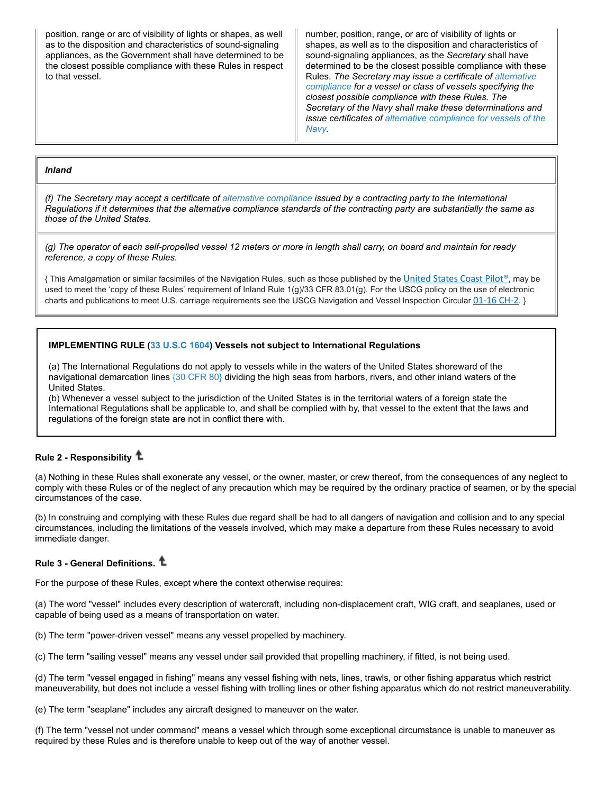position, range or arc of visibility of lights or shapes, as well as to the disposition and characteristics of sound-signaling appliances, as the Government shall have determined to be the closest possible compliance with these Rules in respect to that vessel.

number, position, range, or arc of visibility of lights or shapes, as well as to the disposition and characteristics of sound-signaling appliances, as the *Secretary* shall have determined to be the closest possible compliance with these Rules. *The Secretary may issue a certificate of alternative compliance for a vessel or class of vessels specifying the closest possible compliance with these Rules. The Secretary of the Navy shall make these determinations and [issue certificates of alternative compliance for vessels of the](https://www.ecfr.gov/cgi-bin/text-idx?SID=00e0c50de8fa5cd2dedf4f031b6d710b&mc=true&tpl=/ecfrbrowse/Title32/32cfr706_main_02.tpl) Navy.*

#### *Inland*

*(f) The Secretary may accept a certificate of alternative compliance issued by a contracting party to the International Regulations if it determines that the alternative compliance standards of the contracting party are substantially the same as those of the United States.*

*(g) The operator of each self-propelled vessel 12 meters or more in length shall carry, on board and maintain for ready reference, a copy of these Rules.*

{ This Amalgamation or similar facsimiles of the Navigation Rules, such as those published by the [United](https://nauticalcharts.noaa.gov/publications/coast-pilot/index.html) States Coast Pilot®, may be used to meet the 'copy of these Rules' requirement of Inland Rule 1(g)/33 CFR 83.01(g). For the USCG policy on the use of electronic charts and publications to meet U.S. carriage requirements see the USCG Navigation and Vessel Inspection Circular [01-16](https://www.dco.uscg.mil/Portals/9/DCO%20Documents/5p/5ps/NVIC/2016/NVIC_01-16_Ch-2_Final_2020-05-21.pdf?ver=2020-05-26-172404-563) CH-2. }

#### **IMPLEMENTING RULE ([33 U.S.C 1604](https://uscode.house.gov/view.xhtml?req=granuleid:USC-prelim-title33-section1604&num=0&edition=prelim)) Vessels not subject to International Regulations**

(a) The International Regulations do not apply to vessels while in the waters of the United States shoreward of the navigational demarcation lines  $(30 \text{ CFR } 80)$  dividing the high seas from harbors, rivers, and other inland waters of the United States.

(b) Whenever a vessel subject to the jurisdiction of the United States is in the territorial waters of a foreign state the International Regulations shall be applicable to, and shall be complied with by, that vessel to the extent that the laws and regulations of the foreign state are not in conflict there with.

## <span id="page-3-0"></span>**Rule 2 - Responsibility**

(a) Nothing in these Rules shall exonerate any vessel, or the owner, master, or crew thereof, from the consequences of any neglect to comply with these Rules or of the neglect of any precaution which may be required by the ordinary practice of seamen, or by the special circumstances of the case.

<span id="page-3-1"></span>(b) In construing and complying with these Rules due regard shall be had to all dangers of navigation and collision and to any special circumstances, including the limitations of the vessels involved, which may make a departure from these Rules necessary to avoid immediate danger.

### **Rule 3 - General Definitions.**

<span id="page-3-2"></span>For the purpose of these Rules, except where the context otherwise requires:

(a) The word "vessel" includes every description of watercraft, including non-displacement craft, WIG craft, and seaplanes, used or capable of being used as a means of transportation on water.

(b) The term "power-driven vessel" means any vessel propelled by machinery.

(c) The term "sailing vessel" means any vessel under sail provided that propelling machinery, if fitted, is not being used.

(d) The term "vessel engaged in fishing" means any vessel fishing with nets, lines, trawls, or other fishing apparatus which restrict maneuverability, but does not include a vessel fishing with trolling lines or other fishing apparatus which do not restrict maneuverability.

(e) The term "seaplane" includes any aircraft designed to maneuver on the water.

(f) The term "vessel not under command" means a vessel which through some exceptional circumstance is unable to maneuver as required by these Rules and is therefore unable to keep out of the way of another vessel.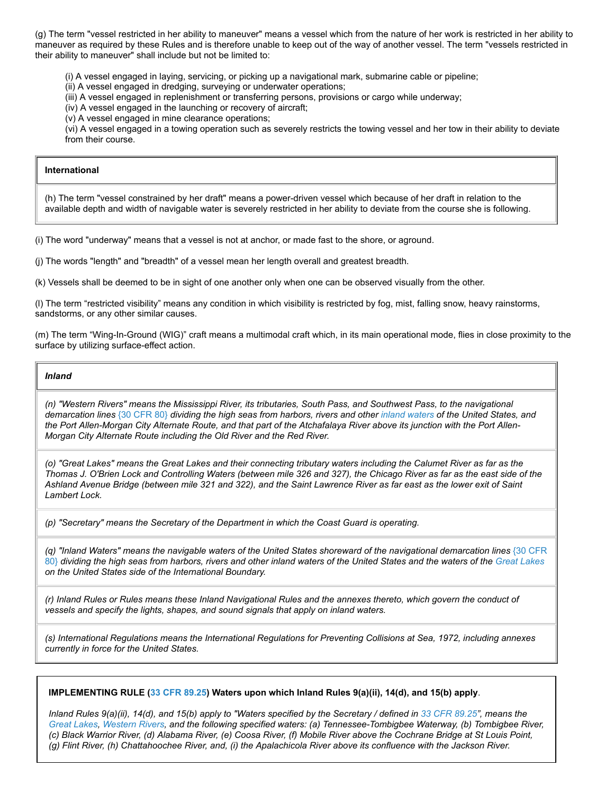(g) The term "vessel restricted in her ability to maneuver" means a vessel which from the nature of her work is restricted in her ability to maneuver as required by these Rules and is therefore unable to keep out of the way of another vessel. The term "vessels restricted in their ability to maneuver" shall include but not be limited to:

(i) A vessel engaged in laying, servicing, or picking up a navigational mark, submarine cable or pipeline;

(ii) A vessel engaged in dredging, surveying or underwater operations;

(iii) A vessel engaged in replenishment or transferring persons, provisions or cargo while underway;

(iv) A vessel engaged in the launching or recovery of aircraft;

(v) A vessel engaged in mine clearance operations;

(vi) A vessel engaged in a towing operation such as severely restricts the towing vessel and her tow in their ability to deviate from their course.

### **International**

<span id="page-4-5"></span>(h) The term "vessel constrained by her draft" means a power-driven vessel which because of her draft in relation to the available depth and width of navigable water is severely restricted in her ability to deviate from the course she is following.

<span id="page-4-3"></span>(i) The word "underway" means that a vessel is not at anchor, or made fast to the shore, or aground.

(j) The words "length" and "breadth" of a vessel mean her length overall and greatest breadth.

(k) Vessels shall be deemed to be in sight of one another only when one can be observed visually from the other.

(l) The term "restricted visibility" means any condition in which visibility is restricted by fog, mist, falling snow, heavy rainstorms, sandstorms, or any other similar causes.

(m) The term "Wing-In-Ground (WIG)" craft means a multimodal craft which, in its main operational mode, flies in close proximity to the surface by utilizing surface-effect action.

#### *Inland*

<span id="page-4-2"></span>*(n) "Western Rivers" means the Mississippi River, its tributaries, South Pass, and Southwest Pass, to the navigational demarcation lines* [{30 CFR 80}](https://www.ecfr.gov/cgi-bin/text-idx?SID=fee5a3b3f512e46f1353d260b93d91a1&mc=true&node=pt33.1.80&rgn=div5) *dividing the high seas from harbors, rivers and other [inland waters](#page-4-0) of the United States, and the Port Allen-Morgan City Alternate Route, and that part of the Atchafalaya River above its junction with the Port Allen-Morgan City Alternate Route including the Old River and the Red River.*

<span id="page-4-1"></span>*(o) "Great Lakes" means the Great Lakes and their connecting tributary waters including the Calumet River as far as the Thomas J. O'Brien Lock and Controlling Waters (between mile 326 and 327), the Chicago River as far as the east side of the Ashland Avenue Bridge (between mile 321 and 322), and the Saint Lawrence River as far east as the lower exit of Saint Lambert Lock.*

*(p) "Secretary" means the Secretary of the Department in which the Coast Guard is operating.*

<span id="page-4-0"></span>*(q) "Inland Waters" means the navigable waters of the United States shoreward of the navigational demarcation lines* {30 CFR 80} *[dividing the high seas from harbors, rivers and other inland waters of the United States and the waters of the Great Lakes](https://www.ecfr.gov/cgi-bin/text-idx?SID=fee5a3b3f512e46f1353d260b93d91a1&mc=true&node=pt33.1.80&rgn=div5) on the United States side of the International Boundary.*

*(r) Inland Rules or Rules means these Inland Navigational Rules and the annexes thereto, which govern the conduct of vessels and specify the lights, shapes, and sound signals that apply on inland waters.*

*(s) International Regulations means the International Regulations for Preventing Collisions at Sea, 1972, including annexes currently in force for the United States.*

#### <span id="page-4-4"></span>**IMPLEMENTING RULE ([33 CFR 89.25](https://www.ecfr.gov/cgi-bin/text-idx?SID=b98e1f6faa3414d8cf0d4a58ced7d57e&mc=true&node=sp33.1.89.b&rgn=div6#se33.1.89_125)) Waters upon which Inland Rules 9(a)(ii), 14(d), and 15(b) apply**.

*Inland Rules 9(a)(ii), 14(d), and 15(b) apply to "Waters specified by the Secretary / defined in [33 CFR 89.25"](https://www.ecfr.gov/cgi-bin/text-idx?SID=b98e1f6faa3414d8cf0d4a58ced7d57e&mc=true&node=sp33.1.89.b&rgn=div6#se33.1.89_125), means the [Great Lakes](#page-4-1), [Western Rivers,](#page-4-2) and the following specified waters: (a) Tennessee-Tombigbee Waterway, (b) Tombigbee River, (c) Black Warrior River, (d) Alabama River, (e) Coosa River, (f) Mobile River above the Cochrane Bridge at St Louis Point, (g) Flint River, (h) Chattahoochee River, and, (i) the Apalachicola River above its confluence with the Jackson River.*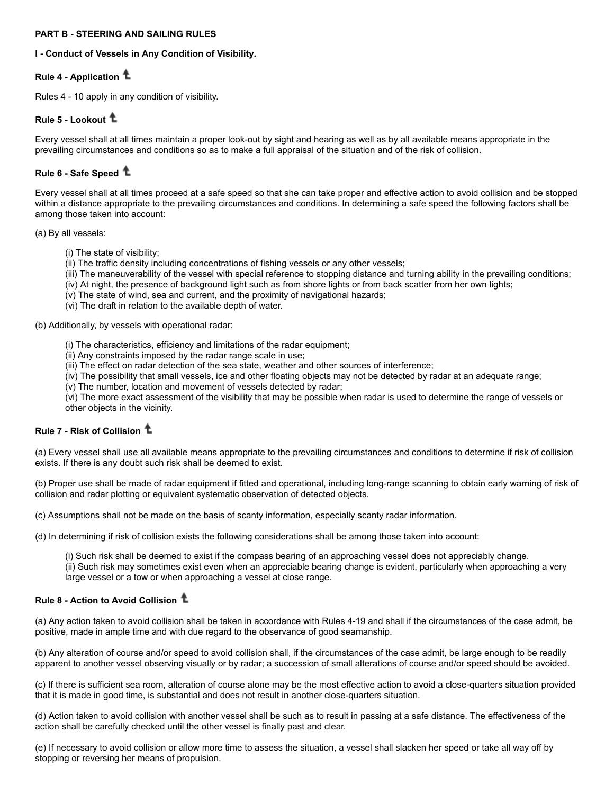### **PART B - STEERING AND SAILING RULES**

### **I - Conduct of Vessels in Any Condition of Visibility***.*

# <span id="page-5-0"></span>**Rule 4 - Application**

Rules 4 - 10 apply in any condition of visibility.

### <span id="page-5-1"></span>**Rule 5 - Lookout**

Every vessel shall at all times maintain a proper look-out by sight and hearing as well as by all available means appropriate in the prevailing circumstances and conditions so as to make a full appraisal of the situation and of the risk of collision.

## <span id="page-5-2"></span>**Rule 6 - Safe Spee[d](#page-0-0)**

Every vessel shall at all times proceed at a safe speed so that she can take proper and effective action to avoid collision and be stopped within a distance appropriate to the prevailing circumstances and conditions. In determining a safe speed the following factors shall be among those taken into account:

(a) By all vessels:

- (i) The state of visibility;
- (ii) The traffic density including concentrations of fishing vessels or any other vessels;
- (iii) The maneuverability of the vessel with special reference to stopping distance and turning ability in the prevailing conditions;
- (iv) At night, the presence of background light such as from shore lights or from back scatter from her own lights;
- (v) The state of wind, sea and current, and the proximity of navigational hazards;
- (vi) The draft in relation to the available depth of water.

(b) Additionally, by vessels with operational radar:

- (i) The characteristics, efficiency and limitations of the radar equipment;
- (ii) Any constraints imposed by the radar range scale in use;
- (iii) The effect on radar detection of the sea state, weather and other sources of interference;
- (iv) The possibility that small vessels, ice and other floating objects may not be detected by radar at an adequate range;
- (v) The number, location and movement of vessels detected by radar;

(vi) The more exact assessment of the visibility that may be possible when radar is used to determine the range of vessels or other objects in the vicinity.

# <span id="page-5-3"></span>**Rule 7 - Risk of Collision**

(a) Every vessel shall use all available means appropriate to the prevailing circumstances and conditions to determine if risk of collision exists. If there is any doubt such risk shall be deemed to exist.

(b) Proper use shall be made of radar equipment if fitted and operational, including long-range scanning to obtain early warning of risk of collision and radar plotting or equivalent systematic observation of detected objects.

(c) Assumptions shall not be made on the basis of scanty information, especially scanty radar information.

(d) In determining if risk of collision exists the following considerations shall be among those taken into account:

(i) Such risk shall be deemed to exist if the compass bearing of an approaching vessel does not appreciably change. (ii) Such risk may sometimes exist even when an appreciable bearing change is evident, particularly when approaching a very large vessel or a tow or when approaching a vessel at close range.

## <span id="page-5-4"></span>**Rule 8 - Action to Avoid Collision**

(a) Any action taken to avoid collision shall be taken in accordance with Rules 4-19 and shall if the circumstances of the case admit, be positive, made in ample time and with due regard to the observance of good seamanship.

(b) Any alteration of course and/or speed to avoid collision shall, if the circumstances of the case admit, be large enough to be readily apparent to another vessel observing visually or by radar; a succession of small alterations of course and/or speed should be avoided.

(c) If there is sufficient sea room, alteration of course alone may be the most effective action to avoid a close-quarters situation provided that it is made in good time, is substantial and does not result in another close-quarters situation.

(d) Action taken to avoid collision with another vessel shall be such as to result in passing at a safe distance. The effectiveness of the action shall be carefully checked until the other vessel is finally past and clear.

(e) If necessary to avoid collision or allow more time to assess the situation, a vessel shall slacken her speed or take all way off by stopping or reversing her means of propulsion.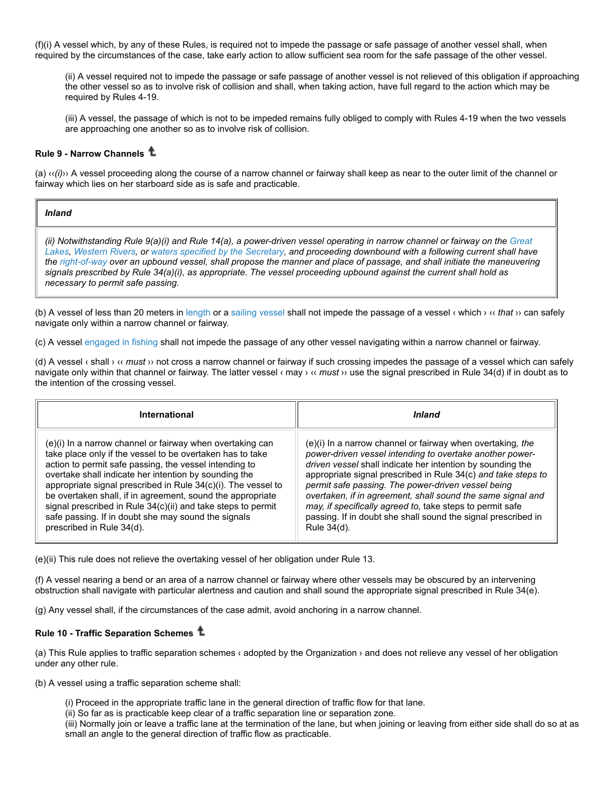(f)(i) A vessel which, by any of these Rules, is required not to impede the passage or safe passage of another vessel shall, when required by the circumstances of the case, take early action to allow sufficient sea room for the safe passage of the other vessel.

(ii) A vessel required not to impede the passage or safe passage of another vessel is not relieved of this obligation if approaching the other vessel so as to involve risk of collision and shall, when taking action, have full regard to the action which may be required by Rules 4-19.

(iii) A vessel, the passage of which is not to be impeded remains fully obliged to comply with Rules 4-19 when the two vessels are approaching one another so as to involve risk of collision.

## <span id="page-6-0"></span>**Rule 9 - Narrow Channels**

(a) ‹‹*(i)*›› A vessel proceeding along the course of a narrow channel or fairway shall keep as near to the outer limit of the channel or fairway which lies on her starboard side as is safe and practicable.

| <b>Inland</b> |  |  |  |  |
|---------------|--|--|--|--|
|---------------|--|--|--|--|

*(ii) Notwithstanding Rule 9(a)(i) and Rule 14(a), a power-driven vessel operating in narrow channel or fairway on the Great [Lakes, Western Rivers, or waters specified by the Secretary, and proceeding downbound with a following current shall hav](#page-4-1)e the [right-of-way](https://www.navcen.uscg.gov/?pageName=navRulesFAQ#0.3_5) over an upbound vessel, shall propose the manner and place of passage, and shall initiate the maneuvering signals prescribed by Rule 34(a)(i), as appropriate. The vessel proceeding upbound against the current shall hold as necessary to permit safe passing.*

(b) A vessel of less than 20 meters in [length](#page-4-3) or a [sailing vessel](#page-3-2) shall not impede the passage of a vessel ‹ which › ‹‹ *that* ›› can safely navigate only within a narrow channel or fairway.

(c) A vessel [engaged in fishing](#page-3-2) shall not impede the passage of any other vessel navigating within a narrow channel or fairway.

(d) A vessel ‹ shall › ‹‹ *must* ›› not cross a narrow channel or fairway if such crossing impedes the passage of a vessel which can safely navigate only within that channel or fairway. The latter vessel ‹ may › ‹‹ *must* ›› use the signal prescribed in Rule 34(d) if in doubt as to the intention of the crossing vessel.

| International                                                 | Inland                                                        |
|---------------------------------------------------------------|---------------------------------------------------------------|
| (e)(i) In a narrow channel or fairway when overtaking can     | $(e)(i)$ In a narrow channel or fairway when overtaking, the  |
| take place only if the vessel to be overtaken has to take     | power-driven vessel intending to overtake another power-      |
| action to permit safe passing, the vessel intending to        | driven vessel shall indicate her intention by sounding the    |
| overtake shall indicate her intention by sounding the         | appropriate signal prescribed in Rule 34(c) and take steps to |
| appropriate signal prescribed in Rule 34(c)(i). The vessel to | permit safe passing. The power-driven vessel being            |
| be overtaken shall, if in agreement, sound the appropriate    | overtaken, if in agreement, shall sound the same signal and   |
| signal prescribed in Rule 34(c)(ii) and take steps to permit  | may, if specifically agreed to, take steps to permit safe     |
| safe passing. If in doubt she may sound the signals           | passing. If in doubt she shall sound the signal prescribed in |
| prescribed in Rule 34(d).                                     | Rule 34(d).                                                   |

(e)(ii) This rule does not relieve the overtaking vessel of her obligation under Rule 13.

(f) A vessel nearing a bend or an area of a narrow channel or fairway where other vessels may be obscured by an intervening obstruction shall navigate with particular alertness and caution and shall sound the appropriate signal prescribed in Rule 34(e).

(g) Any vessel shall, if the circumstances of the case admit, avoid anchoring in a narrow channel.

### <span id="page-6-1"></span>**Rule 10 - Traffic Separation Schemes**

(a) This Rule applies to traffic separation schemes ‹ adopted by the Organization › and does not relieve any vessel of her obligation under any other rule.

(b) A vessel using a traffic separation scheme shall:

(i) Proceed in the appropriate traffic lane in the general direction of traffic flow for that lane.

(ii) So far as is practicable keep clear of a traffic separation line or separation zone.

(iii) Normally join or leave a traffic lane at the termination of the lane, but when joining or leaving from either side shall do so at as small an angle to the general direction of traffic flow as practicable.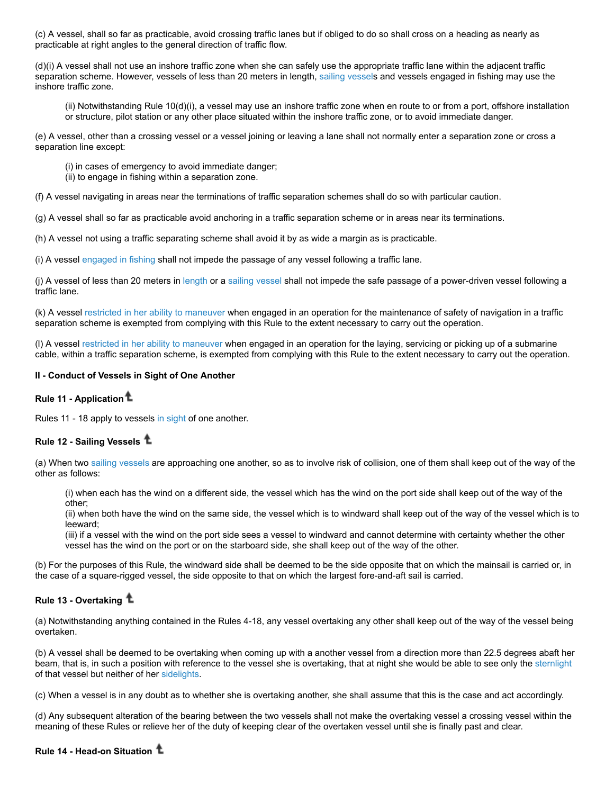(c) A vessel, shall so far as practicable, avoid crossing traffic lanes but if obliged to do so shall cross on a heading as nearly as practicable at right angles to the general direction of traffic flow.

(d)(i) A vessel shall not use an inshore traffic zone when she can safely use the appropriate traffic lane within the adjacent traffic separation scheme. However, vessels of less than 20 meters in length, [sailing vessels](#page-3-2) and vessels engaged in fishing may use the inshore traffic zone.

(ii) Notwithstanding Rule 10(d)(i), a vessel may use an inshore traffic zone when en route to or from a port, offshore installation or structure, pilot station or any other place situated within the inshore traffic zone, or to avoid immediate danger.

(e) A vessel, other than a crossing vessel or a vessel joining or leaving a lane shall not normally enter a separation zone or cross a separation line except:

(i) in cases of emergency to avoid immediate danger;

(ii) to engage in fishing within a separation zone.

(f) A vessel navigating in areas near the terminations of traffic separation schemes shall do so with particular caution.

(g) A vessel shall so far as practicable avoid anchoring in a traffic separation scheme or in areas near its terminations.

(h) A vessel not using a traffic separating scheme shall avoid it by as wide a margin as is practicable.

(i) A vessel [engaged in fishing](#page-3-2) shall not impede the passage of any vessel following a traffic lane.

(j) A vessel of less than 20 meters in [length](#page-4-3) or a [sailing vessel](#page-3-2) shall not impede the safe passage of a power-driven vessel following a traffic lane.

(k) A vessel [restricted in her ability to maneuver](#page-3-2) when engaged in an operation for the maintenance of safety of navigation in a traffic separation scheme is exempted from complying with this Rule to the extent necessary to carry out the operation.

(l) A vessel [restricted in her ability to maneuver](#page-3-2) when engaged in an operation for the laying, servicing or picking up of a submarine cable, within a traffic separation scheme, is exempted from complying with this Rule to the extent necessary to carry out the operation.

### **II - Conduct of Vessels in Sight of One Another**

### **Rule 11 - Application**

Rules 11 - 18 apply to vessels [in sight](#page-4-3) of one another.

## **Rule 12 - Sailing Vessels**

(a) When two [sailing vessels](#page-3-2) are approaching one another, so as to involve risk of collision, one of them shall keep out of the way of the other as follows:

(i) when each has the wind on a different side, the vessel which has the wind on the port side shall keep out of the way of the other;

(ii) when both have the wind on the same side, the vessel which is to windward shall keep out of the way of the vessel which is to leeward;

(iii) if a vessel with the wind on the port side sees a vessel to windward and cannot determine with certainty whether the other vessel has the wind on the port or on the starboard side, she shall keep out of the way of the other.

<span id="page-7-0"></span>(b) For the purposes of this Rule, the windward side shall be deemed to be the side opposite that on which the mainsail is carried or, in the case of a square-rigged vessel, the side opposite to that on which the largest fore-and-aft sail is carried.

### **Rule 13 - Overtaking**

(a) Notwithstanding anything contained in the Rules 4-18, any vessel overtaking any other shall keep out of the way of the vessel being overtaken.

(b) A vessel shall be deemed to be overtaking when coming up with a another vessel from a direction more than 22.5 degrees abaft her beam, that is, in such a position with reference to the vessel she is overtaking, that at night she would be able to see only the [sternlight](#page-10-3) of that vessel but neither of her [sidelights](#page-10-3).

(c) When a vessel is in any doubt as to whether she is overtaking another, she shall assume that this is the case and act accordingly.

(d) Any subsequent alteration of the bearing between the two vessels shall not make the overtaking vessel a crossing vessel within the meaning of these Rules or relieve her of the duty of keeping clear of the overtaken vessel until she is finally past and clear.

# **Rule 14 - Head-on Situation**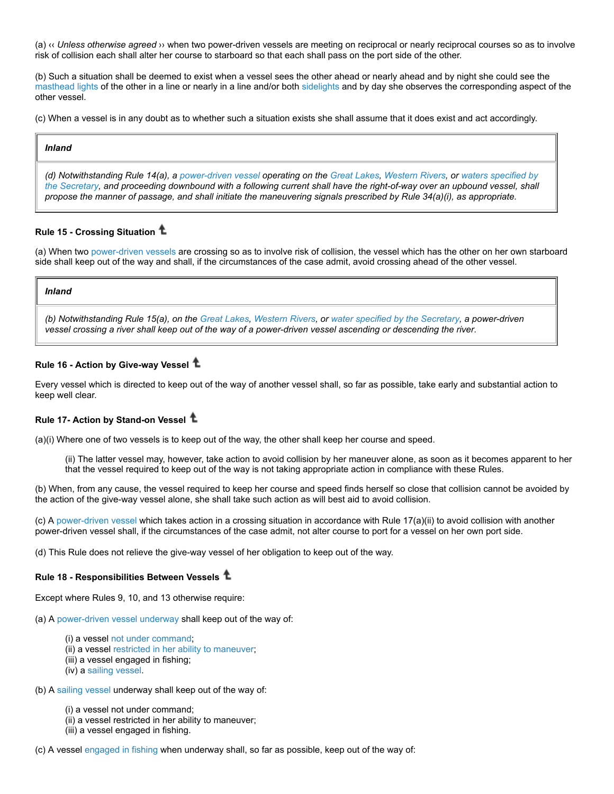(a) ‹‹ *Unless otherwise agreed* ›› when two power-driven vessels are meeting on reciprocal or nearly reciprocal courses so as to involve risk of collision each shall alter her course to starboard so that each shall pass on the port side of the other.

(b) Such a situation shall be deemed to exist when a vessel sees the other ahead or nearly ahead and by night she could see the [masthead lights](#page-10-3) of the other in a line or nearly in a line and/or both [sidelights](#page-10-3) and by day she observes the corresponding aspect of the other vessel.

(c) When a vessel is in any doubt as to whether such a situation exists she shall assume that it does exist and act accordingly.

#### *Inland*

*(d) Notwithstanding Rule 14(a), a [power-driven vessel](#page-3-2) operating on the [Great Lakes,](#page-4-1) [Western Rivers,](#page-4-2) or waters specified by [the Secretary, and proceeding downbound with a following current shall have the right-of-way over an upbound vessel, shall](#page-4-4) propose the manner of passage, and shall initiate the maneuvering signals prescribed by Rule 34(a)(i), as appropriate.*

# <span id="page-8-0"></span>**Rule 15 - Crossing Situation**

(a) When two [power-driven vessels](#page-3-2) are crossing so as to involve risk of collision, the vessel which has the other on her own starboard side shall keep out of the way and shall, if the circumstances of the case admit, avoid crossing ahead of the other vessel.

#### *Inland*

*(b) Notwithstanding Rule 15(a), on the [Great Lakes](#page-4-1), [Western Rivers,](#page-4-2) or [water specified by the Secretary](https://www.navcen.uscg.gov/?pageName=SpecWaters), a power-driven vessel crossing a river shall keep out of the way of a power-driven vessel ascending or descending the river*.

### <span id="page-8-1"></span>**Rule 16 - Action by Give-way Vessel**

<span id="page-8-2"></span>Every vessel which is directed to keep out of the way of another vessel shall, so far as possible, take early and substantial action to keep well clear.

### **Rule 17- Action by Stand-on Vessel**

(a)(i) Where one of two vessels is to keep out of the way, the other shall keep her course and speed.

(ii) The latter vessel may, however, take action to avoid collision by her maneuver alone, as soon as it becomes apparent to her that the vessel required to keep out of the way is not taking appropriate action in compliance with these Rules.

<span id="page-8-3"></span>(b) When, from any cause, the vessel required to keep her course and speed finds herself so close that collision cannot be avoided by the action of the give-way vessel alone, she shall take such action as will best aid to avoid collision.

(c) A [power-driven vessel](#page-3-2) which takes action in a crossing situation in accordance with Rule 17(a)(ii) to avoid collision with another power-driven vessel shall, if the circumstances of the case admit, not alter course to port for a vessel on her own port side.

(d) This Rule does not relieve the give-way vessel of her obligation to keep out of the way.

### **Rule 18 - Responsibilities Between Vessels**

Except where Rules 9, 10, and 13 otherwise require:

(a) A [power-driven vessel](#page-3-2) [underway](#page-4-3) shall keep out of the way of:

- (i) a vessel [not under command](#page-3-2);
- (ii) a vessel [restricted in her ability to maneuver](#page-3-2);
- (iii) a vessel engaged in fishing;
- (iv) a [sailing vessel](#page-3-2).

(b) A [sailing vessel](#page-3-2) underway shall keep out of the way of:

(i) a vessel not under command;

(ii) a vessel restricted in her ability to maneuver;

(iii) a vessel engaged in fishing.

(c) A vessel [engaged in fishing](#page-3-2) when underway shall, so far as possible, keep out of the way of: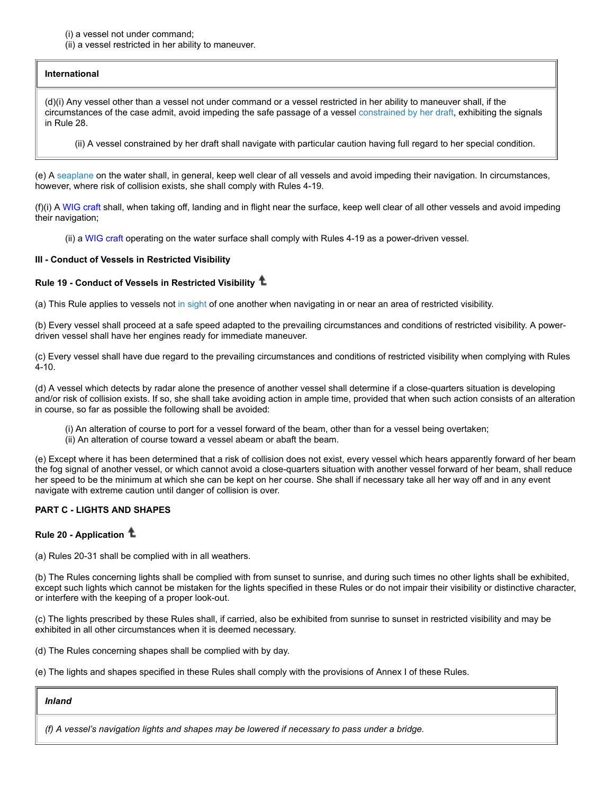- (i) a vessel not under command;
- (ii) a vessel restricted in her ability to maneuver.

### **International**

(d)(i) Any vessel other than a vessel not under command or a vessel restricted in her ability to maneuver shall, if the circumstances of the case admit, avoid impeding the safe passage of a vessel [constrained by her draft,](#page-4-5) exhibiting the signals in Rule 28.

(ii) A vessel constrained by her draft shall navigate with particular caution having full regard to her special condition.

(e) A [seaplane](#page-3-2) on the water shall, in general, keep well clear of all vessels and avoid impeding their navigation. In circumstances, however, where risk of collision exists, she shall comply with Rules 4-19.

(f)(i) A [WIG craft](#page-4-3) shall, when taking off, landing and in flight near the surface, keep well clear of all other vessels and avoid impeding their navigation;

(ii) a [WIG craft](#page-4-3) operating on the water surface shall comply with Rules 4-19 as a power-driven vessel*.*

#### **III - Conduct of Vessels in Restricted Visibility**

### <span id="page-9-0"></span>**Rule 19 - Conduct of Vessels in Restricted Visibility**

(a) This Rule applies to vessels not [in sight](#page-4-3) of one another when navigating in or near an area of restricted visibility.

(b) Every vessel shall proceed at a safe speed adapted to the prevailing circumstances and conditions of restricted visibility. A powerdriven vessel shall have her engines ready for immediate maneuver.

(c) Every vessel shall have due regard to the prevailing circumstances and conditions of restricted visibility when complying with Rules 4-10.

(d) A vessel which detects by radar alone the presence of another vessel shall determine if a close-quarters situation is developing and/or risk of collision exists. If so, she shall take avoiding action in ample time, provided that when such action consists of an alteration in course, so far as possible the following shall be avoided:

(i) An alteration of course to port for a vessel forward of the beam, other than for a vessel being overtaken;

(ii) An alteration of course toward a vessel abeam or abaft the beam.

(e) Except where it has been determined that a risk of collision does not exist, every vessel which hears apparently forward of her beam the fog signal of another vessel, or which cannot avoid a close-quarters situation with another vessel forward of her beam, shall reduce her speed to be the minimum at which she can be kept on her course. She shall if necessary take all her way off and in any event navigate with extreme caution until danger of collision is over.

### <span id="page-9-1"></span>**PART C - LIGHTS AND SHAPES**

### **Rule 20 - Application**

(a) Rules 20-31 shall be complied with in all weathers.

(b) The Rules concerning lights shall be complied with from sunset to sunrise, and during such times no other lights shall be exhibited, except such lights which cannot be mistaken for the lights specified in these Rules or do not impair their visibility or distinctive character, or interfere with the keeping of a proper look-out.

(c) The lights prescribed by these Rules shall, if carried, also be exhibited from sunrise to sunset in restricted visibility and may be exhibited in all other circumstances when it is deemed necessary.

(d) The Rules concerning shapes shall be complied with by day.

(e) The lights and shapes specified in these Rules shall comply with the provisions of Annex I of these Rules.

#### *Inland*

*(f) A vessel's navigation lights and shapes may be lowered if necessary to pass under a bridge.*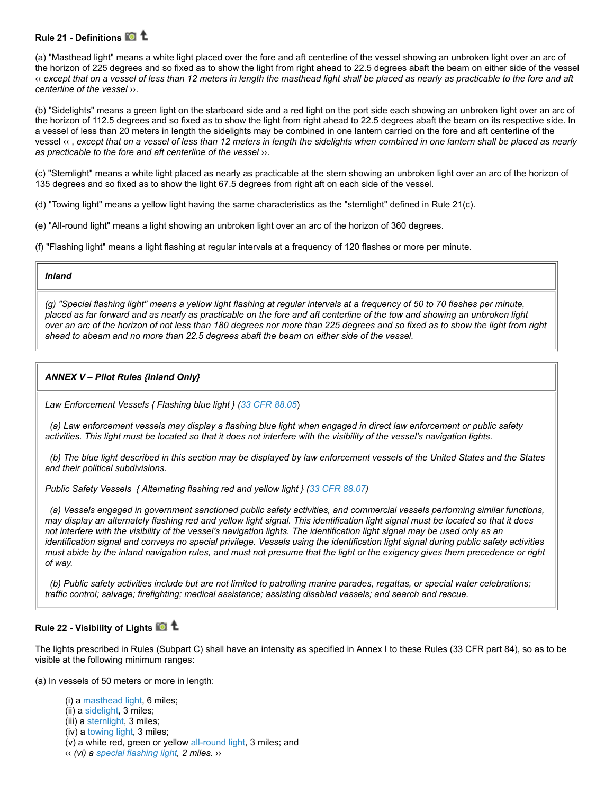# <span id="page-10-0"></span>**Rule 21 - Definitions**

<span id="page-10-3"></span>(a) "Masthead light" means a white light placed over the fore and aft centerline of the vessel showing an unbroken light over an arc of the horizon of 225 degrees and so fixed as to show the light from right ahead to 22.5 degrees abaft the beam on either side of the vessel ‹‹ *except that on a vessel of less than 12 meters in length the masthead light shall be placed as nearly as practicable to the fore and aft centerline of the vessel* ››.

(b) "Sidelights" means a green light on the starboard side and a red light on the port side each showing an unbroken light over an arc of the horizon of 112.5 degrees and so fixed as to show the light from right ahead to 22.5 degrees abaft the beam on its respective side. In a vessel of less than 20 meters in length the sidelights may be combined in one lantern carried on the fore and aft centerline of the vessel ‹‹ , *except that on a vessel of less than 12 meters in length the sidelights when combined in one lantern shall be placed as nearly as practicable to the fore and aft centerline of the vessel* ››.

(c) "Sternlight" means a white light placed as nearly as practicable at the stern showing an unbroken light over an arc of the horizon of 135 degrees and so fixed as to show the light 67.5 degrees from right aft on each side of the vessel.

(d) "Towing light" means a yellow light having the same characteristics as the "sternlight" defined in Rule 21(c).

(e) "All-round light" means a light showing an unbroken light over an arc of the horizon of 360 degrees.

<span id="page-10-4"></span>(f) "Flashing light" means a light flashing at regular intervals at a frequency of 120 flashes or more per minute.

### *Inland*

*(g) "Special flashing light" means a yellow light flashing at regular intervals at a frequency of 50 to 70 flashes per minute, placed as far forward and as nearly as practicable on the fore and aft centerline of the tow and showing an unbroken light over an arc of the horizon of not less than 180 degrees nor more than 225 degrees and so fixed as to show the light from right ahead to abeam and no more than 22.5 degrees abaft the beam on either side of the vessel.*

### <span id="page-10-2"></span>*ANNEX V – Pilot Rules {Inland Only}*

*Law Enforcement Vessels { Flashing blue light } ([33 CFR 88.05](https://www.ecfr.gov/cgi-bin/text-idx?SID=e0bda8699a98393928dee3d5defacf26&mc=true&node=pt33.1.88&rgn=div5)*)

 *(a) Law enforcement vessels may display a flashing blue light when engaged in direct law enforcement or public safety activities. This light must be located so that it does not interfere with the visibility of the vessel's navigation lights.*

 *(b) The blue light described in this section may be displayed by law enforcement vessels of the United States and the States and their political subdivisions.*

*Public Safety Vessels { Alternating flashing red and yellow light } ([33 CFR 88.07](https://www.ecfr.gov/cgi-bin/text-idx?SID=e0bda8699a98393928dee3d5defacf26&mc=true&node=pt33.1.88&rgn=div5))*

*(a) Vessels engaged in government sanctioned public safety activities, and commercial vessels performing similar functions, may display an alternately flashing red and yellow light signal. This identification light signal must be located so that it does not interfere with the visibility of the vessel's navigation lights. The identification light signal may be used only as an identification signal and conveys no special privilege. Vessels using the identification light signal during public safety activities must abide by the inland navigation rules, and must not presume that the light or the exigency gives them precedence or right of way.*

 *(b) Public safety activities include but are not limited to patrolling marine parades, regattas, or special water celebrations; traffic control; salvage; firefighting; medical assistance; assisting disabled vessels; and search and rescue.*

## <span id="page-10-1"></span>**Rule 22 - Visibility of Lights**

The lights prescribed in Rules (Subpart C) shall have an intensity as specified in Annex I to these Rules (33 CFR part 84), so as to be visible at the following minimum ranges:

(a) In vessels of 50 meters or more in length:

(i) a [masthead light,](#page-10-3) 6 miles; (ii) a [sidelight](#page-10-3), 3 miles; (iii) a [sternlight,](#page-10-3) 3 miles; (iv) a [towing light](#page-10-3), 3 miles; (v) a white red, green or yellow [all-round light](#page-10-3), 3 miles; and ‹‹ *(vi) a [special flashing light,](#page-10-4) 2 miles.* ››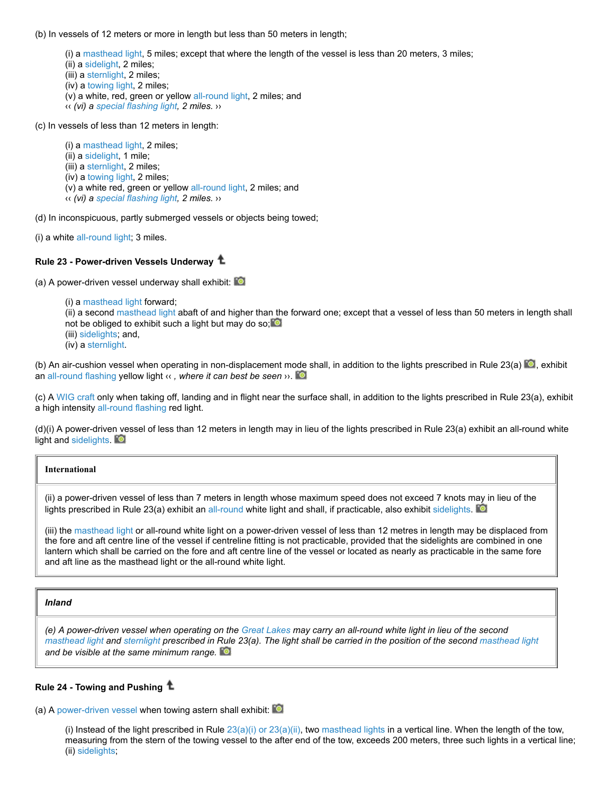(b) In vessels of 12 meters or more in length but less than 50 meters in length;

(i) a [masthead light,](#page-10-3) 5 miles; except that where the length of the vessel is less than 20 meters, 3 miles; (ii) a [sidelight](#page-10-3), 2 miles; (iii) a [sternlight,](#page-10-3) 2 miles; (iv) a [towing light](#page-10-3), 2 miles; (v) a white, red, green or yellow [all-round light](#page-10-3), 2 miles; and ‹‹ *(vi) a [special flashing light,](#page-10-4) 2 miles.* ››

(c) In vessels of less than 12 meters in length:

(i) a [masthead light,](#page-10-3) 2 miles; (ii) a [sidelight](#page-10-3), 1 mile; (iii) a [sternlight,](#page-10-3) 2 miles; (iv) a [towing light](#page-10-3), 2 miles; (v) a white red, green or yellow [all-round light](#page-10-3), 2 miles; and ‹‹ *(vi) a [special flashing light,](#page-10-4) 2 miles.* ››

(d) In inconspicuous, partly submerged vessels or objects being towed;

(i) a white [all-round light](#page-10-3); 3 miles.

#### **Rule 23 - Power-driven Vessels Underway**

(a) A power-driven vessel underway shall exhibit:

(i) a [masthead light](#page-10-3) forward;

(ii) a second [masthead light](#page-10-3) abaft of and higher than the forward one; except that a vessel of less than 50 meters in length shall not be obliged to exhibit such a light but may do so; (iii) [sidelights;](#page-10-3) and,

(iv) a [sternlight](#page-10-3).

(b)An air-cushion vessel when operating in non-displacement mode shall, in addition to the lights prescribed in Rule 23(a)  $\bullet$ , exhibit an [all-round](#page-10-3) [flashing](#page-10-4) yellow light ‹‹ *, where it can best be seen* ››.

(c) A [WIG craft](#page-4-3) only when taking off, landing and in flight near the surface shall, in addition to the lights prescribed in Rule 23(a), exhibit a high intensity [all-round](#page-10-3) [flashing](#page-10-4) red light.

(d)(i) A power-driven vessel of less than 12 meters in length may in lieu of the lights prescribed in Rule 23(a) exhibit an all-round white light and [sidelights](#page-10-3).

#### **International**

(ii) a power-driven vessel of less than 7 meters in length whose maximum speed does not exceed 7 knots may in lieu of the lights prescribed in Rule 23(a) exhibit an [all-round](#page-10-3) white light and shall, if practicable, also exhibit [sidelights](#page-10-3). <sup>Fo</sup>

(iii) the [masthead light](#page-10-3) or all-round white light on a power-driven vessel of less than 12 metres in length may be displaced from the fore and aft centre line of the vessel if centreline fitting is not practicable, provided that the sidelights are combined in one lantern which shall be carried on the fore and aft centre line of the vessel or located as nearly as practicable in the same fore and aft line as the masthead light or the all-round white light.

#### *Inland*

*(e) A power-driven vessel when operating on the [Great Lakes](#page-4-1) may carry an all-round white light in lieu of the second [masthead light](#page-10-3) and [sternlight](#page-10-3) prescribed in Rule 23(a). The light shall be carried in the position of the second [masthead light](#page-10-3) and be visible at the same minimum range.* 

#### **Rule 24 - Towing and Pushing**

(a) A [power-driven vessel](#page-3-2) when towing astern shall exhibit:

<span id="page-11-0"></span>(i) Instead of the light prescribed in Rule  $23(a)(i)$  or  $23(a)(ii)$ , two [masthead lights](#page-10-3) in a vertical line. When the length of the tow, measuring from the stern of the towing vessel to the after end of the tow, exceeds 200 meters, three such lights in a vertical line; (ii) [sidelights](#page-10-3);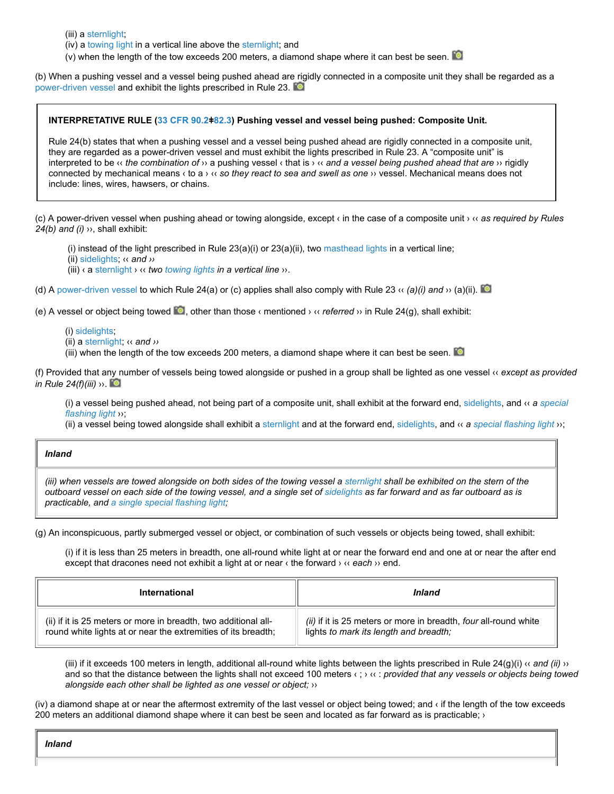(iii) a [sternlight;](#page-10-3)

(iv) a [towing light](#page-10-3) in a vertical line above the [sternlight](#page-10-3); and

(v) when the length of the tow exceeds 200 meters, a diamond shape where it can best be seen.  $\blacksquare$ 

(b) When a pushing vessel and a vessel being pushed ahead are rigidly connected in a composite unit they shall be regarded as a [power-driven vessel](#page-3-2) and exhibit the lights prescribed in Rule 23.

### **INTERPRETATIVE RULE [\(33 CFR 90.2](https://www.ecfr.gov/cgi-bin/text-idx?SID=b98e1f6faa3414d8cf0d4a58ced7d57e&mc=true&node=pt33.1.90&rgn=div5)ǂ[82.3\)](https://www.ecfr.gov/cgi-bin/retrieveECFR?gp=&SID=f77610445a0062e7e51ff94f2cec0824&mc=true&n=pt33.1.82&r=PART&ty=HTML#se33.1.82_13) Pushing vessel and vessel being pushed: Composite Unit.**

Rule 24(b) states that when a pushing vessel and a vessel being pushed ahead are rigidly connected in a composite unit, they are regarded as a power-driven vessel and must exhibit the lights prescribed in Rule 23. A "composite unit" is interpreted to be ‹‹ *the combination of* ›› a pushing vessel ‹ that is › ‹‹ *and a vessel being pushed ahead that are* ›› rigidly connected by mechanical means ‹ to a › ‹‹ *so they react to sea and swell as one* ›› vessel. Mechanical means does not include: lines, wires, hawsers, or chains.

(c) A power-driven vessel when pushing ahead or towing alongside, except ‹ in the case of a composite unit › ‹‹ *as required by Rules 24(b) and (i)* ››, shall exhibit:

(i) instead of the light prescribed in Rule  $23(a)(i)$  or  $23(a)(ii)$ , two [masthead lights](#page-10-3) in a vertical line; (ii) [sidelights;](#page-10-3) ‹‹ *and ››*

(iii) ‹ a [sternlight](#page-10-3) › ‹‹ *two [towing lights](#page-10-3) in a vertical line* ››.

(d) A [power-driven vessel](#page-3-2) to which Rule 24(a) or (c) applies shall also comply with Rule 23 ‹‹ *(a)(i) and* ›› (a)(ii).

(e) A vessel or object being towed **6**, other than those  $\kappa$  mentioned  $\kappa$  *in Freed*  $\kappa$  in Rule 24(g), shall exhibit:

(i) [sidelights](#page-10-3);

(ii) a [sternlight](#page-10-3); ‹‹ *and ››*

(iii) when the length of the tow exceeds 200 meters, a diamond shape where it can best be seen. **To** 

(f) Provided that any number of vessels being towed alongside or pushed in a group shall be lighted as one vessel ‹‹ *except as provided inRule*  $24(f)(iii) \rightarrow .$ 

[\(i\) a vessel being pushed ahead, not being part of a composite unit, shall exhibit at the forward end, s](#page-10-4)[idelight](#page-10-3)[s, and ‹‹](#page-10-4) *a special flashing light* ››;

(ii) a vessel being towed alongside shall exhibit a [sternlight](#page-10-3) and at the forward end, [sidelights,](#page-10-3) and ‹‹ *a [special flashing light](#page-10-4)* ››;

#### *Inland*

*(iii)* when vessels are towed alongside on both sides of the towing vessel a [sternlight](#page-10-3) shall be exhibited on the stern of the *outboard vessel on each side of the towing vessel, and a single set of [sidelights](#page-10-3) as far forward and as far outboard as is practicable, and [a single special flashing light;](#page-10-4)*

(g) An inconspicuous, partly submerged vessel or object, or combination of such vessels or objects being towed, shall exhibit:

(i) if it is less than 25 meters in breadth, one all-round white light at or near the forward end and one at or near the after end except that dracones need not exhibit a light at or near ‹ the forward › ‹‹ *each* ›› end.

| International                                                   | <i><b>Inland</b></i>                                             |
|-----------------------------------------------------------------|------------------------------------------------------------------|
| (ii) if it is 25 meters or more in breadth, two additional all- | (ii) if it is 25 meters or more in breadth, four all-round white |
| round white lights at or near the extremities of its breadth;   | lights to mark its length and breadth;                           |

(iii) if it exceeds 100 meters in length, additional all-round white lights between the lights prescribed in Rule 24(g)(i)  $\alpha$  and (ii)  $\alpha$ and so that the distance between the lights shall not exceed 100 meters ‹ ; › ‹‹ : *provided that any vessels or objects being towed alongside each other shall be lighted as one vessel or object;* ››

(iv) a diamond shape at or near the aftermost extremity of the last vessel or object being towed; and ‹ if the length of the tow exceeds 200 meters an additional diamond shape where it can best be seen and located as far forward as is practicable; ›

*Inland*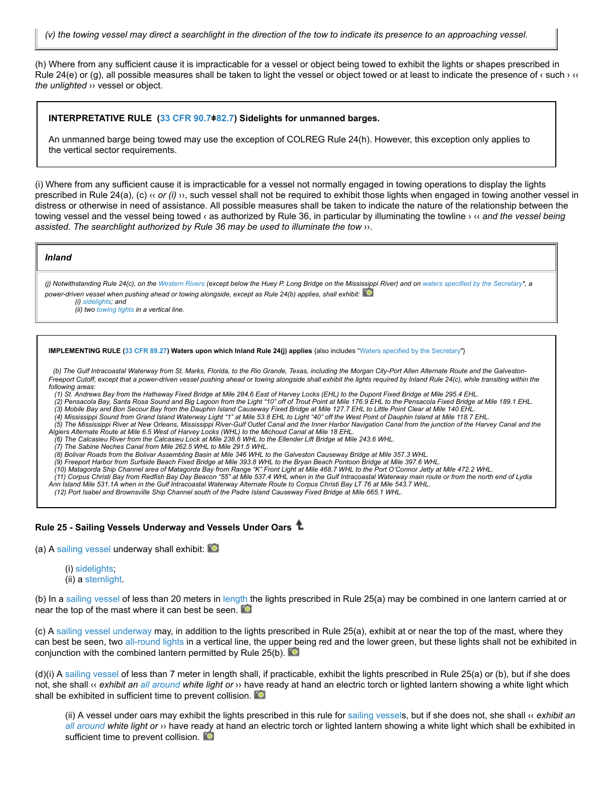(h) Where from any sufficient cause it is impracticable for a vessel or object being towed to exhibit the lights or shapes prescribed in Rule 24(e) or (g), all possible measures shall be taken to light the vessel or object towed or at least to indicate the presence of  $\kappa$  such  $\kappa$ *the unlighted* ›› vessel or object.

#### **INTERPRETATIVE RULE ([33 CFR 90.7](https://www.ecfr.gov/cgi-bin/text-idx?SID=1225840f2ea1d51cb1887caf13cf878c&mc=true&tpl=/ecfrbrowse/Title33/33cfr90_main_02.tpl)ǂ[82.7\)](https://www.ecfr.gov/cgi-bin/text-idx?SID=565b00b791459d5a00597625b4e2181e&mc=true&node=se33.1.82_17&rgn=div8) Sidelights for unmanned barges.**

An unmanned barge being towed may use the exception of COLREG Rule 24(h). However, this exception only applies to the vertical sector requirements.

(i) Where from any sufficient cause it is impracticable for a vessel not normally engaged in towing operations to display the lights prescribed in Rule 24(a), (c)  $\langle$  or (i)  $\rangle$ , such vessel shall not be required to exhibit those lights when engaged in towing another vessel in distress or otherwise in need of assistance. All possible measures shall be taken to indicate the nature of the relationship between the towing vessel and the vessel being towed ‹ as authorized by Rule 36, in particular by illuminating the towline › ‹‹ *and the vessel being assisted. The searchlight authorized by Rule 36 may be used to illuminate the tow* ››.

| Inland                                                                                                                                                                                                                                                                                                                                                                                                                                                                                                                                                                                                                                                                                                                                                                                                                                                                                                                                                                                                                                                                                                                                                                                                                                                                                                                                                                                                                                                                                                                                                                                                                                                                                                                                                                                                                                                 |
|--------------------------------------------------------------------------------------------------------------------------------------------------------------------------------------------------------------------------------------------------------------------------------------------------------------------------------------------------------------------------------------------------------------------------------------------------------------------------------------------------------------------------------------------------------------------------------------------------------------------------------------------------------------------------------------------------------------------------------------------------------------------------------------------------------------------------------------------------------------------------------------------------------------------------------------------------------------------------------------------------------------------------------------------------------------------------------------------------------------------------------------------------------------------------------------------------------------------------------------------------------------------------------------------------------------------------------------------------------------------------------------------------------------------------------------------------------------------------------------------------------------------------------------------------------------------------------------------------------------------------------------------------------------------------------------------------------------------------------------------------------------------------------------------------------------------------------------------------------|
| (j) Notwithstanding Rule 24(c), on the Western Rivers (except below the Huey P. Long Bridge on the Mississippi River) and on waters specified by the Secretary*, a<br>power-driven vessel when pushing ahead or towing alongside, except as Rule 24(b) applies, shall exhibit: <b>TO</b><br>(i) sidelights; and<br>(ii) two towing lights in a vertical line.                                                                                                                                                                                                                                                                                                                                                                                                                                                                                                                                                                                                                                                                                                                                                                                                                                                                                                                                                                                                                                                                                                                                                                                                                                                                                                                                                                                                                                                                                          |
| <b>IMPLEMENTING RULE (33 CFR 89.27) Waters upon which Inland Rule 24(j) applies</b> {also includes "Waters specified by the Secretary"}<br>(b) The Gulf Intracoastal Waterway from St. Marks, Florida, to the Rio Grande, Texas, including the Morgan City-Port Allen Alternate Route and the Galveston-<br>Freeport Cutoff, except that a power-driven vessel pushing ahead or towing alongside shall exhibit the lights required by Inland Rule 24(c), while transiting within the<br>following areas:<br>(1) St. Andrews Bay from the Hathaway Fixed Bridge at Mile 284.6 East of Harvey Locks (EHL) to the Dupont Fixed Bridge at Mile 295.4 EHL.<br>(2) Pensacola Bay, Santa Rosa Sound and Big Lagoon from the Light "10" off of Trout Point at Mile 176.9 EHL to the Pensacola Fixed Bridge at Mile 189.1 EHL.<br>(3) Mobile Bay and Bon Secour Bay from the Dauphin Island Causeway Fixed Bridge at Mile 127.7 EHL to Little Point Clear at Mile 140 EHL.<br>(4) Mississippi Sound from Grand Island Waterway Light "1" at Mile 53.8 EHL to Light "40" off the West Point of Dauphin Island at Mile 118.7 EHL.<br>(5) The Mississippi River at New Orleans, Mississippi River-Gulf Outlet Canal and the Inner Harbor Navigation Canal from the junction of the Harvey Canal and the<br>Algiers Alternate Route at Mile 6.5 West of Harvey Locks (WHL) to the Michoud Canal at Mile 18 EHL.<br>(6) The Calcasieu River from the Calcasieu Lock at Mile 238.6 WHL to the Ellender Lift Bridge at Mile 243.6 WHL.<br>(7) The Sabine Neches Canal from Mile 262.5 WHL to Mile 291.5 WHL.<br>(8) Bolivar Roads from the Bolivar Assembling Basin at Mile 346 WHL to the Galveston Causeway Bridge at Mile 357.3 WHL.<br>(9) Freeport Harbor from Surfside Beach Fixed Bridge at Mile 393.8 WHL to the Bryan Beach Pontoon Bridge at Mile 397.6 WHL. |
| (10) Matagorda Ship Channel area of Matagorda Bay from Range "K" Front Light at Mile 468.7 WHL to the Port O'Connor Jetty at Mile 472.2 WHL.<br>(11) Corpus Christi Bay from Redfish Bay Day Beacon "55" at Mile 537.4 WHL when in the Gulf Intracoastal Waterway main route or from the north end of Lydia<br>Ann Island Mile 531.1A when in the Gulf Intracoastal Waterway Alternate Route to Corpus Christi Bay LT 76 at Mile 543.7 WHL.<br>(12) Port Isabel and Brownsville Ship Channel south of the Padre Island Causeway Fixed Bridge at Mile 665.1 WHL.                                                                                                                                                                                                                                                                                                                                                                                                                                                                                                                                                                                                                                                                                                                                                                                                                                                                                                                                                                                                                                                                                                                                                                                                                                                                                        |

## <span id="page-13-0"></span>**Rule 25 - Sailing Vessels Underway and Vessels Under Oars**

(a) A [sailing vessel](#page-3-2) underway shall exhibit:  $\bullet$ 

- (i) [sidelights](#page-10-3);
- (ii) a [sternlight](#page-10-3).

(b) In a [sailing vessel](#page-3-2) of less than 20 meters in [length](#page-4-3) the lights prescribed in Rule 25(a) may be combined in one lantern carried at or near the top of the mast where it can best be seen.

(c) A [sailing vessel](#page-3-2) [underway](#page-4-3) may, in addition to the lights prescribed in Rule 25(a), exhibit at or near the top of the mast, where they can best be seen, two [all-round lights](#page-10-3) in a vertical line, the upper being red and the lower green, but these lights shall not be exhibited in conjunction with the combined lantern permitted by Rule 25(b).

(d)(i) A [sailing vessel](#page-3-2) of less than 7 meter in length shall, if practicable, exhibit the lights prescribed in Rule 25(a) or (b), but if she does not, she shall ‹‹ *exhibit an [all around](#page-10-3) white light or* ›› have ready at hand an electric torch or lighted lantern showing a white light which shallbe exhibited in sufficient time to prevent collision.

(ii) A vessel under oars may exhibit the lights prescribed in this rule for [sailing vessels](#page-3-2), but if she does not, she shall ‹‹ *exhibit an [all around](#page-10-3) white light or* ›› have ready at hand an electric torch or lighted lantern showing a white light which shall be exhibited in sufficient time to prevent collision.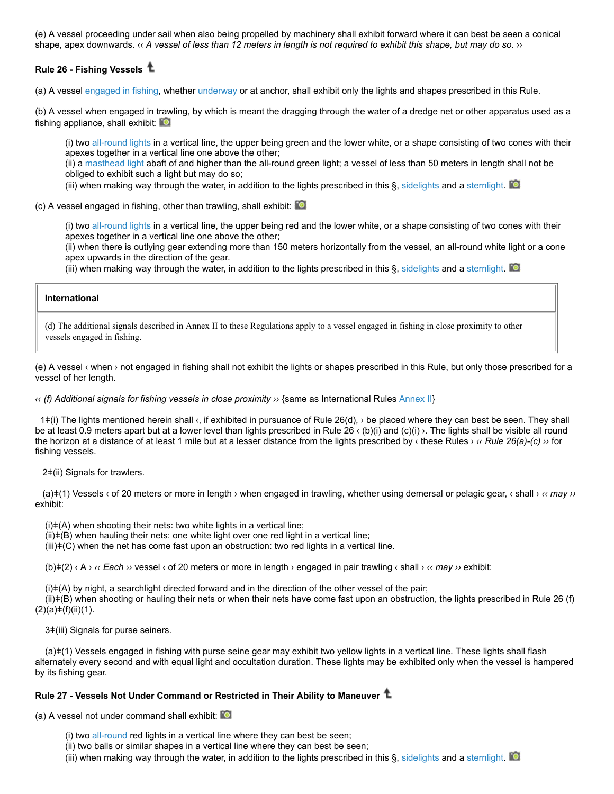<span id="page-14-0"></span>(e) A vessel proceeding under sail when also being propelled by machinery shall exhibit forward where it can best be seen a conical shape, apex downwards. ‹‹ *A vessel of less than 12 meters in length is not required to exhibit this shape, but may do so.* ››

## **Rule 26 - Fishing Vessels**

(a) A vessel [engaged in fishing](#page-3-2), whether [underway](#page-4-3) or at anchor, shall exhibit only the lights and shapes prescribed in this Rule.

(b) A vessel when engaged in trawling, by which is meant the dragging through the water of a dredge net or other apparatus used as a fishing appliance, shall exhibit:  $\bullet$ 

(i) two [all-round lights](#page-10-3) in a vertical line, the upper being green and the lower white, or a shape consisting of two cones with their apexes together in a vertical line one above the other;

(ii) a [masthead light](#page-10-3) abaft of and higher than the all-round green light; a vessel of less than 50 meters in length shall not be obliged to exhibit such a light but may do so;

(iii) when making way through the water, in addition to the lights prescribed in this  $\S$ , [sidelights](#page-10-3) and a [sternlight](#page-10-3).  $\blacksquare$ 

(c) A vessel engaged in fishing, other than trawling, shall exhibit:

(i) two [all-round lights](#page-10-3) in a vertical line, the upper being red and the lower white, or a shape consisting of two cones with their apexes together in a vertical line one above the other;

(ii) when there is outlying gear extending more than 150 meters horizontally from the vessel, an all-round white light or a cone apex upwards in the direction of the gear.

(iii) when making way through the water, in addition to the lights prescribed in this §, [sidelights](#page-10-3) and a [sternlight](#page-10-3). <sup>To</sup>

#### **International**

(d) The additional signals described in Annex II to these Regulations apply to a vessel engaged in fishing in close proximity to other vessels engaged in fishing.

(e) A vessel ‹ when › not engaged in fishing shall not exhibit the lights or shapes prescribed in this Rule, but only those prescribed for a vessel of her length.

*‹‹ (f) Additional signals for fishing vessels in close proximity ››* {same as International Rules [Annex II](#page-27-0)}

 1ǂ(i) The lights mentioned herein shall ‹, if exhibited in pursuance of Rule 26(d), › be placed where they can best be seen. They shall be at least 0.9 meters apart but at a lower level than lights prescribed in Rule 26 < (b)(i) and (c)(i) >. The lights shall be visible all round the horizon at a distance of at least 1 mile but at a lesser distance from the lights prescribed by ‹ these Rules › *‹‹ Rule 26(a)-(c) ››* for fishing vessels.

2ǂ(ii) Signals for trawlers.

 (a)ǂ(1) Vessels ‹ of 20 meters or more in length › when engaged in trawling, whether using demersal or pelagic gear, ‹ shall › *‹‹ may ››* exhibit:

 $(i)$   $\neq$  (A) when shooting their nets: two white lights in a vertical line;

(ii)ǂ(B) when hauling their nets: one white light over one red light in a vertical line;

(iii)ǂ(C) when the net has come fast upon an obstruction: two red lights in a vertical line.

(b)ǂ(2) ‹ A › *‹‹ Each ››* vessel ‹ of 20 meters or more in length › engaged in pair trawling ‹ shall › *‹‹ may ››* exhibit:

(i)ǂ(A) by night, a searchlight directed forward and in the direction of the other vessel of the pair;

 (ii)ǂ(B) when shooting or hauling their nets or when their nets have come fast upon an obstruction, the lights prescribed in Rule 26 (f)  $(2)(a)$  $\pm$ (f)(ii)(1).

3ǂ(iii) Signals for purse seiners.

 (a)ǂ(1) Vessels engaged in fishing with purse seine gear may exhibit two yellow lights in a vertical line. These lights shall flash alternately every second and with equal light and occultation duration. These lights may be exhibited only when the vessel is hampered by its fishing gear.

#### <span id="page-14-1"></span>**Rule 27 - Vessels Not Under Command or Restricted in Their Ability to Maneuver**

(a) A vessel not under command shall exhibit:

- (i) two [all-round](#page-10-3) red lights in a vertical line where they can best be seen;
- (ii) two balls or similar shapes in a vertical line where they can best be seen;
- (iii) when making way through the water, in addition to the lights prescribed in this  $\S$ , [sidelights](#page-10-3) and a [sternlight](#page-10-3).  $\blacksquare$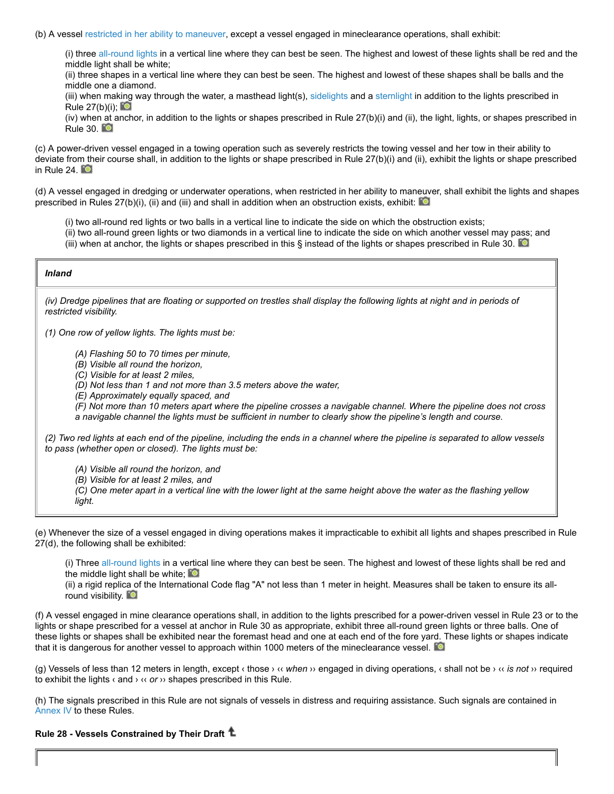(b) A vessel [restricted in her ability to maneuver](#page-3-2), except a vessel engaged in mineclearance operations, shall exhibit:

(i) three [all-round lights](#page-10-3) in a vertical line where they can best be seen. The highest and lowest of these lights shall be red and the middle light shall be white;

(ii) three shapes in a vertical line where they can best be seen. The highest and lowest of these shapes shall be balls and the middle one a diamond.

(iii) when making way through the water, a masthead light(s), [sidelights](#page-10-3) and a [sternlight](#page-10-3) in addition to the lights prescribed in Rule 27(b)(i); **10** 

(iv) when at anchor, in addition to the lights or shapes prescribed in Rule 27(b)(i) and (ii), the light, lights, or shapes prescribed in Rule 30. **10** 

(c) A power-driven vessel engaged in a towing operation such as severely restricts the towing vessel and her tow in their ability to deviate from their course shall, in addition to the lights or shape prescribed in Rule 27(b)(i) and (ii), exhibit the lights or shape prescribed in Rule 24.

(d) A vessel engaged in dredging or underwater operations, when restricted in her ability to maneuver, shall exhibit the lights and shapes prescribed in Rules 27(b)(i), (ii) and (iii) and shall in addition when an obstruction exists, exhibit: <sup>10</sup>

- (i) two all-round red lights or two balls in a vertical line to indicate the side on which the obstruction exists;
- (ii) two all-round green lights or two diamonds in a vertical line to indicate the side on which another vessel may pass; and
- (iii) when at anchor, the lights or shapes prescribed in this § instead of the lights or shapes prescribed in Rule 30.

### *Inland*

*(iv) Dredge pipelines that are floating or supported on trestles shall display the following lights at night and in periods of restricted visibility.*

*(1) One row of yellow lights. The lights must be:*

*(A) Flashing 50 to 70 times per minute,*

- *(B) Visible all round the horizon,*
- *(C) Visible for at least 2 miles,*
- *(D) Not less than 1 and not more than 3.5 meters above the water,*
- *(E) Approximately equally spaced, and*

*(F) Not more than 10 meters apart where the pipeline crosses a navigable channel. Where the pipeline does not cross a navigable channel the lights must be sufficient in number to clearly show the pipeline's length and course.*

*(2) Two red lights at each end of the pipeline, including the ends in a channel where the pipeline is separated to allow vessels to pass (whether open or closed). The lights must be:*

*(A) Visible all round the horizon, and*

*(B) Visible for at least 2 miles, and*

*(C) One meter apart in a vertical line with the lower light at the same height above the water as the flashing yellow light.*

(e) Whenever the size of a vessel engaged in diving operations makes it impracticable to exhibit all lights and shapes prescribed in Rule 27(d), the following shall be exhibited:

(i) Three [all-round lights](#page-10-3) in a vertical line where they can best be seen. The highest and lowest of these lights shall be red and themiddle light shall be white; **O** 

(ii) a rigid replica of the International Code flag "A" not less than 1 meter in height. Measures shall be taken to ensure its allround visibility.

(f) A vessel engaged in mine clearance operations shall, in addition to the lights prescribed for a power-driven vessel in Rule 23 or to the lights or shape prescribed for a vessel at anchor in Rule 30 as appropriate, exhibit three all-round green lights or three balls. One of these lights or shapes shall be exhibited near the foremast head and one at each end of the fore yard. These lights or shapes indicate that it is dangerous for another vessel to approach within 1000 meters of the mineclearance vessel. To

(g) Vessels of less than 12 meters in length, except ‹ those › ‹‹ *when* ›› engaged in diving operations, ‹ shall not be › ‹‹ *is not* ›› required to exhibit the lights ‹ and › ‹‹ *or* ›› shapes prescribed in this Rule.

(h) The signals prescribed in this Rule are not signals of vessels in distress and requiring assistance. Such signals are contained in [Annex IV](#page-20-2) to these Rules.

### <span id="page-15-0"></span>**Rule 28 - Vessels Constrained by Their Draft**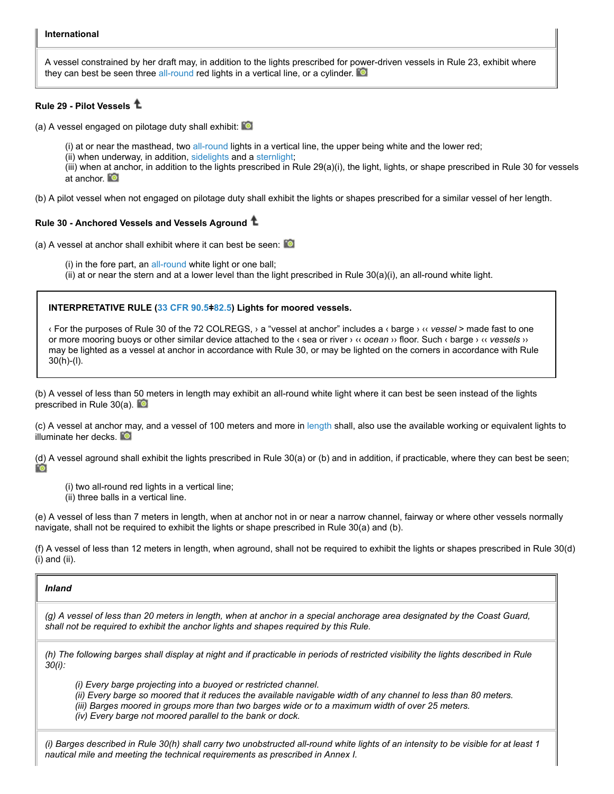A vessel constrained by her draft may, in addition to the lights prescribed for power-driven vessels in Rule 23, exhibit where they can best be seen three [all-round](#page-10-3)red lights in a vertical line, or a cylinder. <sup>10</sup>

## <span id="page-16-0"></span>**Rule 29 - Pilot Vessels**

(a) A vessel engaged on pilotage duty shall exhibit:

- (i) at or near the masthead, two [all-round](#page-10-3) lights in a vertical line, the upper being white and the lower red;
- (ii) when underway, in addition, [sidelights](#page-10-3) and a [sternlight](#page-10-3);

(iii) when at anchor, in addition to the lights prescribed in Rule 29(a)(i), the light, lights, or shape prescribed in Rule 30 for vessels atanchor.

<span id="page-16-1"></span>(b) A pilot vessel when not engaged on pilotage duty shall exhibit the lights or shapes prescribed for a similar vessel of her length.

## **Rule 30 - Anchored Vessels and Vessels Aground**

(a) A vessel at anchor shall exhibit where it can best be seen:

(i) in the fore part, an [all-round](#page-10-3) white light or one ball; (ii) at or near the stern and at a lower level than the light prescribed in Rule 30(a)(i), an all-round white light.

## **INTERPRETATIVE RULE [\(33 CFR 90.5](https://www.ecfr.gov/cgi-bin/text-idx?SID=faf80c2a988c090c724149db2d8d60ef&mc=true&node=se33.1.90_15&rgn=div8)ǂ[82.5\)](https://www.ecfr.gov/cgi-bin/retrieveECFR?gp=&SID=faf80c2a988c090c724149db2d8d60ef&mc=true&r=PART&n=pt33.1.82%20-%20se33.1.82_15) Lights for moored vessels.**

‹ For the purposes of Rule 30 of the 72 COLREGS, › a "vessel at anchor" includes a ‹ barge › ‹‹ *vessel* > made fast to one or more mooring buoys or other similar device attached to the ‹ sea or river › ‹‹ *ocean* ›› floor. Such ‹ barge › ‹‹ *vessels* ›› may be lighted as a vessel at anchor in accordance with Rule 30, or may be lighted on the corners in accordance with Rule 30(h)-(l).

(b) A vessel of less than 50 meters in length may exhibit an all-round white light where it can best be seen instead of the lights prescribed in Rule 30(a). **[0]** 

(c) A vessel at anchor may, and a vessel of 100 meters and more in [length](#page-4-3) shall, also use the available working or equivalent lights to illuminate her decks. **[0]** 

(d) A vessel aground shall exhibit the lights prescribed in Rule 30(a) or (b) and in addition, if practicable, where they can best be seen;  $\bullet$ 

- (i) two all-round red lights in a vertical line;
- (ii) three balls in a vertical line.

(e) A vessel of less than 7 meters in length, when at anchor not in or near a narrow channel, fairway or where other vessels normally navigate, shall not be required to exhibit the lights or shape prescribed in Rule 30(a) and (b).

(f) A vessel of less than 12 meters in length, when aground, shall not be required to exhibit the lights or shapes prescribed in Rule 30(d) (i) and (ii).

## *Inland*

*(g) A vessel of less than 20 meters in length, when at anchor in a special anchorage area designated by the Coast Guard, shall not be required to exhibit the anchor lights and shapes required by this Rule.*

*(h) The following barges shall display at night and if practicable in periods of restricted visibility the lights described in Rule 30(i):*

- *(i) Every barge projecting into a buoyed or restricted channel.*
- *(ii) Every barge so moored that it reduces the available navigable width of any channel to less than 80 meters.*
- *(iii) Barges moored in groups more than two barges wide or to a maximum width of over 25 meters.*
- *(iv) Every barge not moored parallel to the bank or dock.*

*(i) Barges described in Rule 30(h) shall carry two unobstructed all-round white lights of an intensity to be visible for at least 1 nautical mile and meeting the technical requirements as prescribed in Annex I.*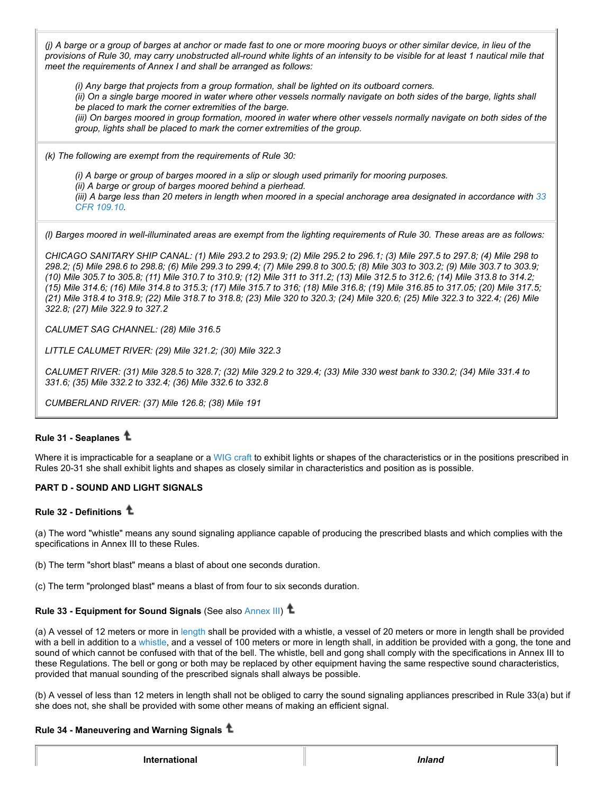*(j) A barge or a group of barges at anchor or made fast to one or more mooring buoys or other similar device, in lieu of the provisions of Rule 30, may carry unobstructed all-round white lights of an intensity to be visible for at least 1 nautical mile that meet the requirements of Annex I and shall be arranged as follows:*

*(i) Any barge that projects from a group formation, shall be lighted on its outboard corners.*

*(ii) On a single barge moored in water where other vessels normally navigate on both sides of the barge, lights shall be placed to mark the corner extremities of the barge.*

*(iii) On barges moored in group formation, moored in water where other vessels normally navigate on both sides of the group, lights shall be placed to mark the corner extremities of the group.*

*(k) The following are exempt from the requirements of Rule 30:*

*(i) A barge or group of barges moored in a slip or slough used primarily for mooring purposes. (ii) A barge or group of barges moored behind a pierhead. [\(iii\) A barge less than 20 meters in length when moored in a special anchorage area designated in accordance with 33](https://www.ecfr.gov/cgi-bin/text-idx?SID=3f1421dc9fb9ba18e51aa131ae806704&mc=true&node=pt33.1.109&rgn=div5#se33.1.109_110) CFR 109.10.*

*(l) Barges moored in well-illuminated areas are exempt from the lighting requirements of Rule 30. These areas are as follows:*

*CHICAGO SANITARY SHIP CANAL: (1) Mile 293.2 to 293.9; (2) Mile 295.2 to 296.1; (3) Mile 297.5 to 297.8; (4) Mile 298 to 298.2; (5) Mile 298.6 to 298.8; (6) Mile 299.3 to 299.4; (7) Mile 299.8 to 300.5; (8) Mile 303 to 303.2; (9) Mile 303.7 to 303.9; (10) Mile 305.7 to 305.8; (11) Mile 310.7 to 310.9; (12) Mile 311 to 311.2; (13) Mile 312.5 to 312.6; (14) Mile 313.8 to 314.2; (15) Mile 314.6; (16) Mile 314.8 to 315.3; (17) Mile 315.7 to 316; (18) Mile 316.8; (19) Mile 316.85 to 317.05; (20) Mile 317.5; (21) Mile 318.4 to 318.9; (22) Mile 318.7 to 318.8; (23) Mile 320 to 320.3; (24) Mile 320.6; (25) Mile 322.3 to 322.4; (26) Mile 322.8; (27) Mile 322.9 to 327.2*

*CALUMET SAG CHANNEL: (28) Mile 316.5*

*LITTLE CALUMET RIVER: (29) Mile 321.2; (30) Mile 322.3*

*CALUMET RIVER: (31) Mile 328.5 to 328.7; (32) Mile 329.2 to 329.4; (33) Mile 330 west bank to 330.2; (34) Mile 331.4 to 331.6; (35) Mile 332.2 to 332.4; (36) Mile 332.6 to 332.8*

*CUMBERLAND RIVER: (37) Mile 126.8; (38) Mile 191*

## <span id="page-17-0"></span>**Rule 31 - Seaplanes**

Where it is impracticable for a seaplane or a [WIG craft](#page-4-3) to exhibit lights or shapes of the characteristics or in the positions prescribed in Rules 20-31 she shall exhibit lights and shapes as closely similar in characteristics and position as is possible.

## <span id="page-17-1"></span>**PART D - SOUND AND LIGHT SIGNALS**

### **Rule 32 - Definitions**

(a) The word "whistle" means any sound signaling appliance capable of producing the prescribed blasts and which complies with the specifications in Annex III to these Rules.

<span id="page-17-2"></span>(b) The term "short blast" means a blast of about one seconds duration.

<span id="page-17-3"></span>(c) The term "prolonged blast" means a blast of from four to six seconds duration.

## **Rule 33 - Equipment for Sound Signals** (See also [Annex III\)](#page-27-1)

(a) A vessel of 12 meters or more in [length](#page-4-3) shall be provided with a whistle, a vessel of 20 meters or more in length shall be provided with a bell in addition to a [whistle](#page-17-1), and a vessel of 100 meters or more in length shall, in addition be provided with a gong, the tone and sound of which cannot be confused with that of the bell. The whistle, bell and gong shall comply with the specifications in Annex III to these Regulations. The bell or gong or both may be replaced by other equipment having the same respective sound characteristics, provided that manual sounding of the prescribed signals shall always be possible.

(b) A vessel of less than 12 meters in length shall not be obliged to carry the sound signaling appliances prescribed in Rule 33(a) but if she does not, she shall be provided with some other means of making an efficient signal.

### **Rule 34 - Maneuvering and Warning Signals**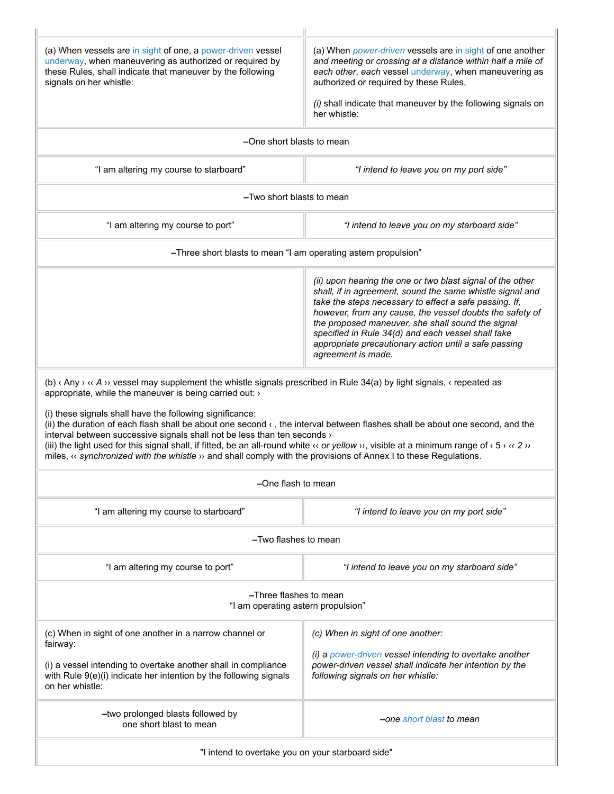| (a) When vessels are in sight of one, a power-driven vessel<br>underway, when maneuvering as authorized or required by<br>these Rules, shall indicate that maneuver by the following<br>signals on her whistle:                                                                                                                                                                                                                                                                                                                                                                                                                              | (a) When power-driven vessels are in sight of one another<br>and meeting or crossing at a distance within half a mile of<br>each other, each vessel underway, when maneuvering as<br>authorized or required by these Rules,<br>(i) shall indicate that maneuver by the following signals on                                                                                                                                             |
|----------------------------------------------------------------------------------------------------------------------------------------------------------------------------------------------------------------------------------------------------------------------------------------------------------------------------------------------------------------------------------------------------------------------------------------------------------------------------------------------------------------------------------------------------------------------------------------------------------------------------------------------|-----------------------------------------------------------------------------------------------------------------------------------------------------------------------------------------------------------------------------------------------------------------------------------------------------------------------------------------------------------------------------------------------------------------------------------------|
|                                                                                                                                                                                                                                                                                                                                                                                                                                                                                                                                                                                                                                              | her whistle:                                                                                                                                                                                                                                                                                                                                                                                                                            |
| -One short blasts to mean                                                                                                                                                                                                                                                                                                                                                                                                                                                                                                                                                                                                                    |                                                                                                                                                                                                                                                                                                                                                                                                                                         |
| "I am altering my course to starboard"                                                                                                                                                                                                                                                                                                                                                                                                                                                                                                                                                                                                       | "I intend to leave you on my port side"                                                                                                                                                                                                                                                                                                                                                                                                 |
| -Two short blasts to mean                                                                                                                                                                                                                                                                                                                                                                                                                                                                                                                                                                                                                    |                                                                                                                                                                                                                                                                                                                                                                                                                                         |
| "I am altering my course to port"                                                                                                                                                                                                                                                                                                                                                                                                                                                                                                                                                                                                            | "I intend to leave you on my starboard side"                                                                                                                                                                                                                                                                                                                                                                                            |
| -Three short blasts to mean "I am operating astern propulsion"                                                                                                                                                                                                                                                                                                                                                                                                                                                                                                                                                                               |                                                                                                                                                                                                                                                                                                                                                                                                                                         |
|                                                                                                                                                                                                                                                                                                                                                                                                                                                                                                                                                                                                                                              | (ii) upon hearing the one or two blast signal of the other<br>shall, if in agreement, sound the same whistle signal and<br>take the steps necessary to effect a safe passing. If,<br>however, from any cause, the vessel doubts the safety of<br>the proposed maneuver, she shall sound the signal<br>specified in Rule 34(d) and each vessel shall take<br>appropriate precautionary action until a safe passing<br>agreement is made. |
| appropriate, while the maneuver is being carried out: ><br>(i) these signals shall have the following significance:<br>(ii) the duration of each flash shall be about one second <, the interval between flashes shall be about one second, and the<br>interval between successive signals shall not be less than ten seconds ><br>(iii) the light used for this signal shall, if fitted, be an all-round white $\langle$ or yellow », visible at a minimum range of $\langle$ 5 $\rangle$ $\langle$ $\langle$ 2 $\rangle$<br>miles, « synchronized with the whistle » and shall comply with the provisions of Annex I to these Regulations. |                                                                                                                                                                                                                                                                                                                                                                                                                                         |
| -One flash to mean                                                                                                                                                                                                                                                                                                                                                                                                                                                                                                                                                                                                                           |                                                                                                                                                                                                                                                                                                                                                                                                                                         |
| "I am altering my course to starboard"                                                                                                                                                                                                                                                                                                                                                                                                                                                                                                                                                                                                       | "I intend to leave you on my port side"                                                                                                                                                                                                                                                                                                                                                                                                 |
| -Two flashes to mean                                                                                                                                                                                                                                                                                                                                                                                                                                                                                                                                                                                                                         |                                                                                                                                                                                                                                                                                                                                                                                                                                         |
| "I am altering my course to port"                                                                                                                                                                                                                                                                                                                                                                                                                                                                                                                                                                                                            | "I intend to leave you on my starboard side"                                                                                                                                                                                                                                                                                                                                                                                            |
| -Three flashes to mean<br>"I am operating astern propulsion"                                                                                                                                                                                                                                                                                                                                                                                                                                                                                                                                                                                 |                                                                                                                                                                                                                                                                                                                                                                                                                                         |
| (c) When in sight of one another in a narrow channel or<br>fairway:                                                                                                                                                                                                                                                                                                                                                                                                                                                                                                                                                                          | (c) When in sight of one another:                                                                                                                                                                                                                                                                                                                                                                                                       |
| (i) a vessel intending to overtake another shall in compliance<br>with Rule 9(e)(i) indicate her intention by the following signals<br>on her whistle:                                                                                                                                                                                                                                                                                                                                                                                                                                                                                       | (i) a power-driven vessel intending to overtake another<br>power-driven vessel shall indicate her intention by the<br>following signals on her whistle:                                                                                                                                                                                                                                                                                 |
| -two prolonged blasts followed by<br>one short blast to mean                                                                                                                                                                                                                                                                                                                                                                                                                                                                                                                                                                                 | -one short blast to mean                                                                                                                                                                                                                                                                                                                                                                                                                |
| "I intend to overtake you on your starboard side"                                                                                                                                                                                                                                                                                                                                                                                                                                                                                                                                                                                            |                                                                                                                                                                                                                                                                                                                                                                                                                                         |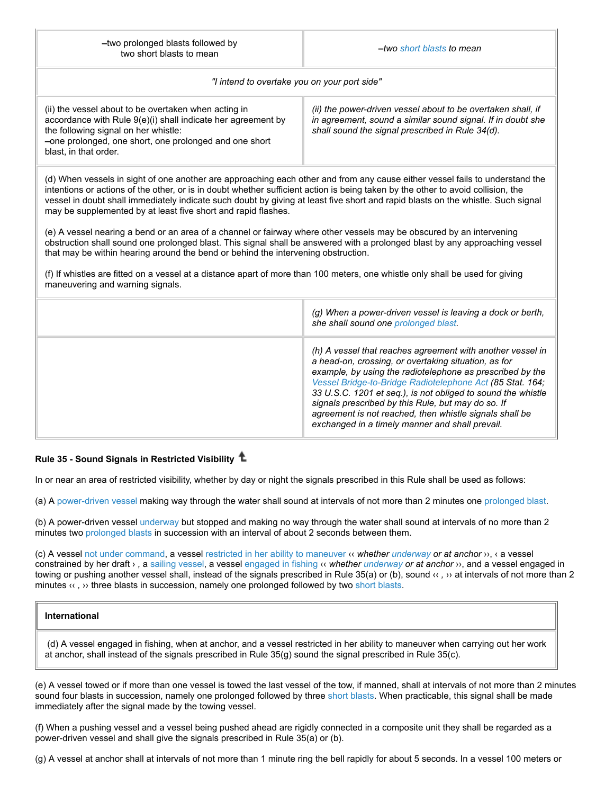| -two prolonged blasts followed by |  |
|-----------------------------------|--|
| two short blasts to mean          |  |

*"I intend to overtake you on your port side"*

| (ii) the vessel about to be overtaken when acting in<br>accordance with Rule 9(e)(i) shall indicate her agreement by<br>the following signal on her whistle:<br>-one prolonged, one short, one prolonged and one short<br>blast, in that order. | (ii) the power-driven vessel about to be overtaken shall, if<br>in agreement, sound a similar sound signal. If in doubt she<br>shall sound the signal prescribed in Rule 34(d). |
|-------------------------------------------------------------------------------------------------------------------------------------------------------------------------------------------------------------------------------------------------|---------------------------------------------------------------------------------------------------------------------------------------------------------------------------------|
|-------------------------------------------------------------------------------------------------------------------------------------------------------------------------------------------------------------------------------------------------|---------------------------------------------------------------------------------------------------------------------------------------------------------------------------------|

(d) When vessels in sight of one another are approaching each other and from any cause either vessel fails to understand the intentions or actions of the other, or is in doubt whether sufficient action is being taken by the other to avoid collision, the vessel in doubt shall immediately indicate such doubt by giving at least five short and rapid blasts on the whistle. Such signal may be supplemented by at least five short and rapid flashes.

(e) A vessel nearing a bend or an area of a channel or fairway where other vessels may be obscured by an intervening obstruction shall sound one prolonged blast. This signal shall be answered with a prolonged blast by any approaching vessel that may be within hearing around the bend or behind the intervening obstruction.

(f) If whistles are fitted on a vessel at a distance apart of more than 100 meters, one whistle only shall be used for giving maneuvering and warning signals.

| (g) When a power-driven vessel is leaving a dock or berth,<br>she shall sound one prolonged blast.                                                                                                                                                                                                                                                                                                                                                                               |
|----------------------------------------------------------------------------------------------------------------------------------------------------------------------------------------------------------------------------------------------------------------------------------------------------------------------------------------------------------------------------------------------------------------------------------------------------------------------------------|
| (h) A vessel that reaches agreement with another vessel in<br>a head-on, crossing, or overtaking situation, as for<br>example, by using the radiotelephone as prescribed by the<br>Vessel Bridge-to-Bridge Radiotelephone Act (85 Stat. 164;<br>33 U.S.C. 1201 et seq.), is not obliged to sound the whistle<br>signals prescribed by this Rule, but may do so. If<br>agreement is not reached, then whistle signals shall be<br>exchanged in a timely manner and shall prevail. |

### <span id="page-19-0"></span>**Rule 35 - Sound Signals in Restricted Visibility**

In or near an area of restricted visibility, whether by day or night the signals prescribed in this Rule shall be used as follows:

(a) A [power-driven vessel](#page-3-2) making way through the water shall sound at intervals of not more than 2 minutes one [prolonged blast.](#page-17-1)

(b) A power-driven vessel [underway](#page-4-3) but stopped and making no way through the water shall sound at intervals of no more than 2 minutes two [prolonged blasts](#page-17-3) in succession with an interval of about 2 seconds between them.

(c) A vessel [not under command,](#page-3-2) a vessel [restricted in her ability to maneuver](#page-4-3) ‹‹ *whether [underway](#page-4-3) or at anchor* ››, ‹ a vessel constrained by her draft › *,* a [sailing vessel,](#page-3-2) a vessel [engaged in fishing](#page-3-2) ‹‹ *whether [underway](#page-4-3) or at anchor* ››, and a vessel engaged in towing or pushing another vessel shall, instead of the signals prescribed in Rule 35(a) or (b), sound ‹‹ *,* ›› at intervals of not more than 2 minutes  $\langle \cdot, \cdot \rangle$  three blasts in succession, namely one prolonged followed by two [short blasts.](#page-17-2)

### **International**

(d) A vessel engaged in fishing, when at anchor, and a vessel restricted in her ability to maneuver when carrying out her work at anchor, shall instead of the signals prescribed in Rule 35(g) sound the signal prescribed in Rule 35(c).

(e) A vessel towed or if more than one vessel is towed the last vessel of the tow, if manned, shall at intervals of not more than 2 minutes sound four blasts in succession, namely one prolonged followed by three [short blasts](#page-17-2). When practicable, this signal shall be made immediately after the signal made by the towing vessel.

(f) When a pushing vessel and a vessel being pushed ahead are rigidly connected in a composite unit they shall be regarded as a power-driven vessel and shall give the signals prescribed in Rule 35(a) or (b).

(g) A vessel at anchor shall at intervals of not more than 1 minute ring the bell rapidly for about 5 seconds. In a vessel 100 meters or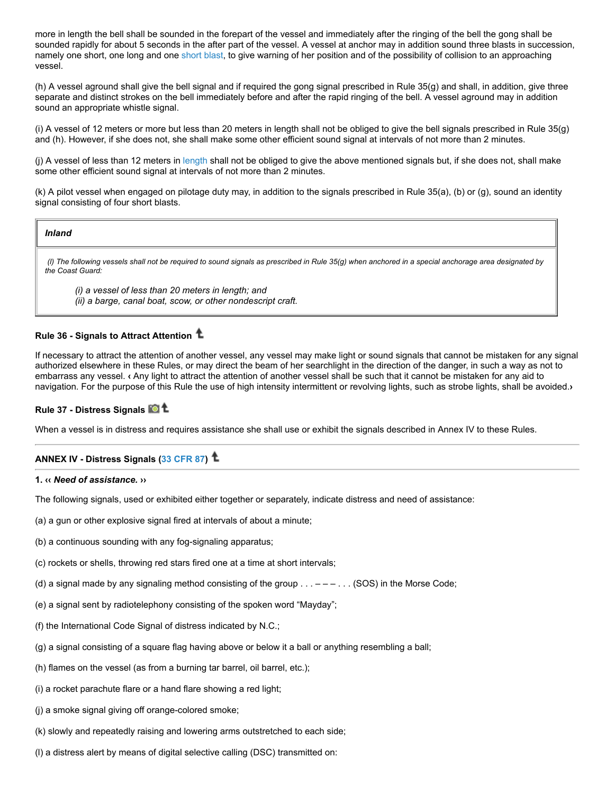more in length the bell shall be sounded in the forepart of the vessel and immediately after the ringing of the bell the gong shall be sounded rapidly for about 5 seconds in the after part of the vessel. A vessel at anchor may in addition sound three blasts in succession, namely one short, one long and one [short blast](#page-17-2), to give warning of her position and of the possibility of collision to an approaching vessel.

(h) A vessel aground shall give the bell signal and if required the gong signal prescribed in Rule 35(g) and shall, in addition, give three separate and distinct strokes on the bell immediately before and after the rapid ringing of the bell. A vessel aground may in addition sound an appropriate whistle signal.

(i) A vessel of 12 meters or more but less than 20 meters in length shall not be obliged to give the bell signals prescribed in Rule 35(g) and (h). However, if she does not, she shall make some other efficient sound signal at intervals of not more than 2 minutes.

(j) A vessel of less than 12 meters in [length](#page-4-3) shall not be obliged to give the above mentioned signals but, if she does not, shall make some other efficient sound signal at intervals of not more than 2 minutes.

(k) A pilot vessel when engaged on pilotage duty may, in addition to the signals prescribed in Rule 35(a), (b) or (g), sound an identity signal consisting of four short blasts.

*(l) The following vessels shall not be required to sound signals as prescribed in Rule 35(g) when anchored in a special anchorage area designated by the Coast Guard:*

*(i) a vessel of less than 20 meters in length; and (ii) a barge, canal boat, scow, or other nondescript craft.*

### <span id="page-20-0"></span>**Rule 36 - Signals to Attract Attention**

If necessary to attract the attention of another vessel, any vessel may make light or sound signals that cannot be mistaken for any signal authorized elsewhere in these Rules, or may direct the beam of her searchlight in the direction of the danger, in such a way as not to embarrass any vessel. **‹** Any light to attract the attention of another vessel shall be such that it cannot be mistaken for any aid to navigation. For the purpose of this Rule the use of high intensity intermittent or revolving lights, such as strobe lights, shall be avoided.**›**

## <span id="page-20-1"></span>**Rule 37 - Distress Signals**

*Inland*

When a vessel is in distress and requires assistance she shall use or exhibit the signals described in Annex IV to these Rules.

## <span id="page-20-2"></span>**ANNEX IV - Distress Signals ([33 CFR 87](https://https//www.ecfr.gov/cgi-bin/retrieveECFR?gp=&SID=809cce46462f8dd5de66107ffff8edce&mc=true&r=PART&n=pt33.1.87))**

#### **1. ‹‹** *Need of assistance.* **››**

The following signals, used or exhibited either together or separately, indicate distress and need of assistance:

- (a) a gun or other explosive signal fired at intervals of about a minute;
- (b) a continuous sounding with any fog-signaling apparatus;

(c) rockets or shells, throwing red stars fired one at a time at short intervals;

- (d) a signal made by any signaling method consisting of the group  $\dots$  –  $\dots$  (SOS) in the Morse Code;
- (e) a signal sent by radiotelephony consisting of the spoken word "Mayday";
- (f) the International Code Signal of distress indicated by N.C.;
- (g) a signal consisting of a square flag having above or below it a ball or anything resembling a ball;
- (h) flames on the vessel (as from a burning tar barrel, oil barrel, etc.);
- (i) a rocket parachute flare or a hand flare showing a red light;
- (j) a smoke signal giving off orange-colored smoke;
- (k) slowly and repeatedly raising and lowering arms outstretched to each side;
- (l) a distress alert by means of digital selective calling (DSC) transmitted on: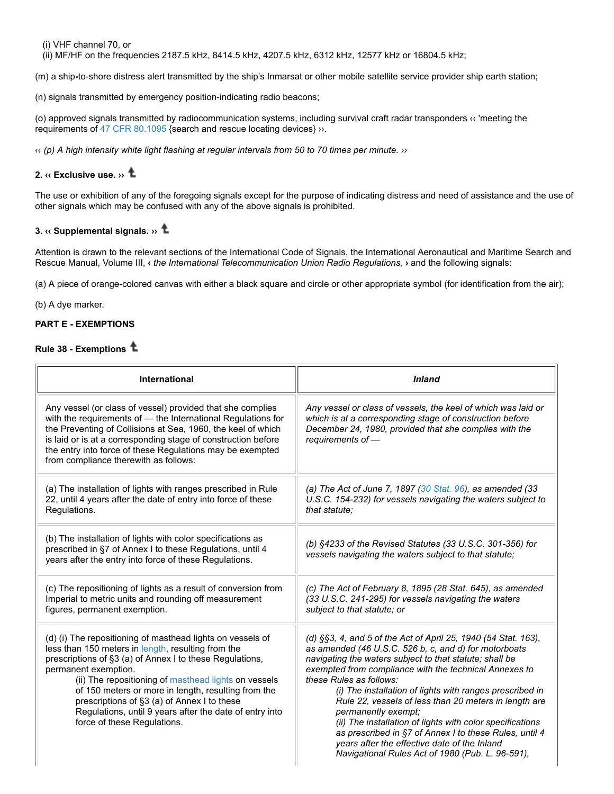(i) VHF channel 70, or

(ii) MF/HF on the frequencies 2187.5 kHz, 8414.5 kHz, 4207.5 kHz, 6312 kHz, 12577 kHz or 16804.5 kHz;

(m) a ship**-**to-shore distress alert transmitted by the ship's Inmarsat or other mobile satellite service provider ship earth station;

(n) signals transmitted by emergency position-indicating radio beacons;

(o) approved signals transmitted by radiocommunication systems, including survival craft radar transponders ‹‹ 'meeting the requirements of [47 CFR 80.1095](https://www.ecfr.gov/cgi-bin/text-idx?SID=3f1421dc9fb9ba18e51aa131ae806704&mc=true&node=pt47.5.80&rgn=div5) {search and rescue locating devices} ››.

*‹‹ (p) A high intensity white light flashing at regular intervals from 50 to 70 times per minute. ››*

## **2. ‹‹ Exclusive use. ››**

The use or exhibition of any of the foregoing signals except for the purpose of indicating distress and need of assistance and the use of other signals which may be confused with any of the above signals is prohibited.

# **3. ‹‹ Supplemental signals. ››**

Attention is drawn to the relevant sections of the International Code of Signals, the International Aeronautical and Maritime Search and Rescue Manual, Volume III, **‹** *the International Telecommunication Union Radio Regulations,* **›** and the following signals:

(a) A piece of orange-colored canvas with either a black square and circle or other appropriate symbol (for identification from the air);

(b) A dye marker.

### <span id="page-21-0"></span>**PART E - EXEMPTIONS**

# **Rule 38 - Exemptions**

| <b>International</b>                                                                                                                                                                                                                                                                                                                                                                                                                                         | <b>Inland</b>                                                                                                                                                                                                                                                                                                                                                                                                                                                                                                                                                                                                                                  |  |  |  |
|--------------------------------------------------------------------------------------------------------------------------------------------------------------------------------------------------------------------------------------------------------------------------------------------------------------------------------------------------------------------------------------------------------------------------------------------------------------|------------------------------------------------------------------------------------------------------------------------------------------------------------------------------------------------------------------------------------------------------------------------------------------------------------------------------------------------------------------------------------------------------------------------------------------------------------------------------------------------------------------------------------------------------------------------------------------------------------------------------------------------|--|--|--|
| Any vessel (or class of vessel) provided that she complies<br>with the requirements of - the International Regulations for<br>the Preventing of Collisions at Sea, 1960, the keel of which<br>is laid or is at a corresponding stage of construction before<br>the entry into force of these Regulations may be exempted<br>from compliance therewith as follows:                                                                                            | Any vessel or class of vessels, the keel of which was laid or<br>which is at a corresponding stage of construction before<br>December 24, 1980, provided that she complies with the<br>requirements of -                                                                                                                                                                                                                                                                                                                                                                                                                                       |  |  |  |
| (a) The installation of lights with ranges prescribed in Rule<br>22, until 4 years after the date of entry into force of these<br>Regulations.                                                                                                                                                                                                                                                                                                               | (a) The Act of June 7, 1897 (30 Stat. 96), as amended (33<br>U.S.C. 154-232) for vessels navigating the waters subject to<br>that statute:                                                                                                                                                                                                                                                                                                                                                                                                                                                                                                     |  |  |  |
| (b) The installation of lights with color specifications as<br>prescribed in §7 of Annex I to these Regulations, until 4<br>years after the entry into force of these Regulations.                                                                                                                                                                                                                                                                           | (b) §4233 of the Revised Statutes (33 U.S.C. 301-356) for<br>vessels navigating the waters subject to that statute;                                                                                                                                                                                                                                                                                                                                                                                                                                                                                                                            |  |  |  |
| (c) The repositioning of lights as a result of conversion from<br>Imperial to metric units and rounding off measurement<br>figures, permanent exemption.                                                                                                                                                                                                                                                                                                     | (c) The Act of February 8, 1895 (28 Stat. 645), as amended<br>(33 U.S.C. 241-295) for vessels navigating the waters<br>subject to that statute; or                                                                                                                                                                                                                                                                                                                                                                                                                                                                                             |  |  |  |
| (d) (i) The repositioning of masthead lights on vessels of<br>less than 150 meters in length, resulting from the<br>prescriptions of §3 (a) of Annex I to these Regulations,<br>permanent exemption.<br>(ii) The repositioning of masthead lights on vessels<br>of 150 meters or more in length, resulting from the<br>prescriptions of §3 (a) of Annex I to these<br>Regulations, until 9 years after the date of entry into<br>force of these Regulations. | (d) §§3, 4, and 5 of the Act of April 25, 1940 (54 Stat. 163),<br>as amended (46 U.S.C. 526 b, c, and d) for motorboats<br>navigating the waters subject to that statute; shall be<br>exempted from compliance with the technical Annexes to<br>these Rules as follows:<br>(i) The installation of lights with ranges prescribed in<br>Rule 22, vessels of less than 20 meters in length are<br>permanently exempt;<br>(ii) The installation of lights with color specifications<br>as prescribed in §7 of Annex I to these Rules, until 4<br>years after the effective date of the Inland<br>Navigational Rules Act of 1980 (Pub. L. 96-591), |  |  |  |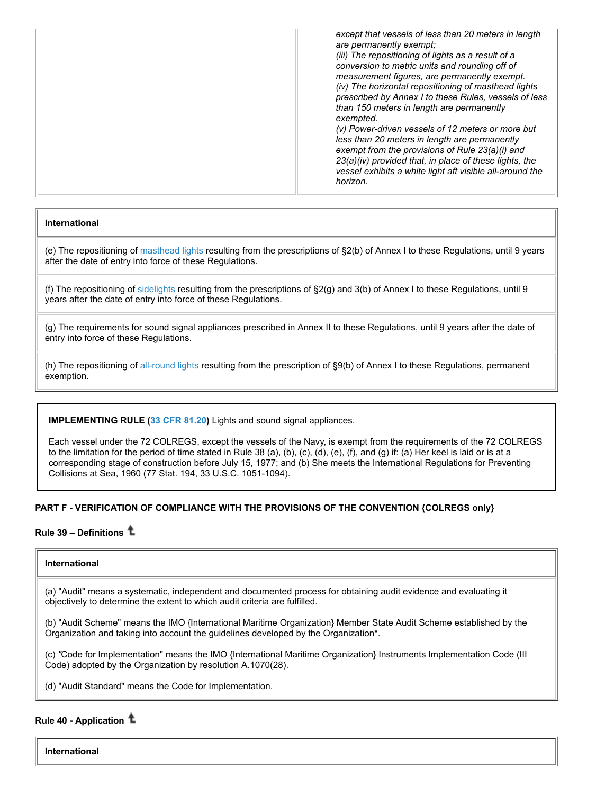*except that vessels of less than 20 meters in length are permanently exempt; (iii) The repositioning of lights as a result of a conversion to metric units and rounding off of measurement figures, are permanently exempt. (iv) The horizontal repositioning of masthead lights prescribed by Annex I to these Rules, vessels of less than 150 meters in length are permanently exempted. (v) Power-driven vessels of 12 meters or more but less than 20 meters in length are permanently exempt from the provisions of Rule 23(a)(i) and 23(a)(iv) provided that, in place of these lights, the vessel exhibits a white light aft visible all-around the horizon.*

### **International**

(e) The repositioning of [masthead lights](#page-10-3) resulting from the prescriptions of §2(b) of Annex I to these Regulations, until 9 years after the date of entry into force of these Regulations.

(f) The repositioning of [sidelights](#page-10-3) resulting from the prescriptions of §2(g) and 3(b) of Annex I to these Regulations, until 9 years after the date of entry into force of these Regulations.

(g) The requirements for sound signal appliances prescribed in Annex II to these Regulations, until 9 years after the date of entry into force of these Regulations.

(h) The repositioning of [all-round lights](#page-10-3) resulting from the prescription of §9(b) of Annex I to these Regulations, permanent exemption.

### **IMPLEMENTING RULE ([33 CFR 81.20](https://www.ecfr.gov/cgi-bin/text-idx?SID=ad3a21db057dee8f1183f817a3a56028&mc=true&node=se33.1.81_120&rgn=div8))** Lights and sound signal appliances.

Each vessel under the 72 COLREGS, except the vessels of the Navy, is exempt from the requirements of the 72 COLREGS to the limitation for the period of time stated in Rule 38 (a), (b), (c), (d), (e), (f), and (g) if: (a) Her keel is laid or is at a corresponding stage of construction before July 15, 1977; and (b) She meets the International Regulations for Preventing Collisions at Sea, 1960 (77 Stat. 194, 33 U.S.C. 1051-1094).

### <span id="page-22-0"></span>**PART F - VERIFICATION OF COMPLIANCE WITH THE PROVISIONS OF THE CONVENTION {COLREGS only}**

### **Rule 39 – Definitions**

### **International**

(a) "Audit" means a systematic, independent and documented process for obtaining audit evidence and evaluating it objectively to determine the extent to which audit criteria are fulfilled.

(b) "Audit Scheme" means the IMO {International Maritime Organization} Member State Audit Scheme established by the Organization and taking into account the guidelines developed by the Organization\*.

(c) *"*Code for Implementation" means the IMO {International Maritime Organization} Instruments Implementation Code (III Code) adopted by the Organization by resolution A.1070(28).

(d) "Audit Standard" means the Code for Implementation.

### <span id="page-22-1"></span>**Rule 40 - Application**

**International**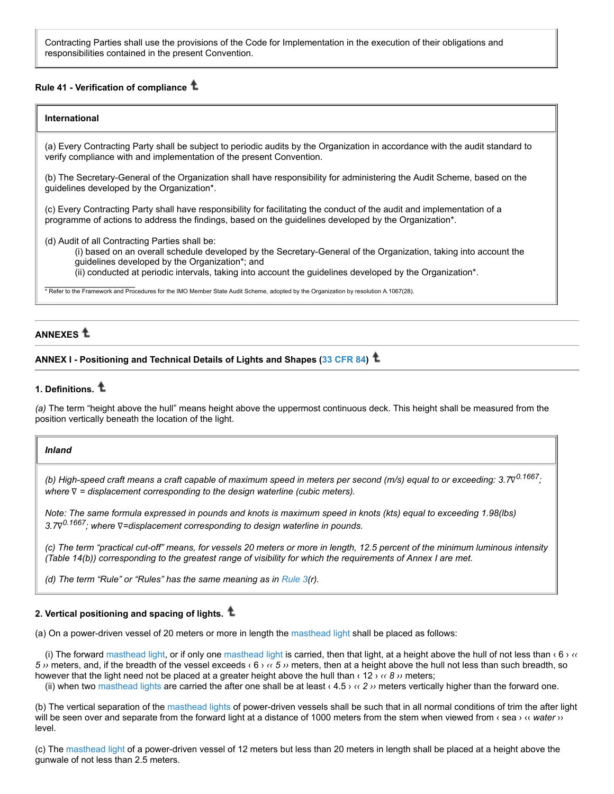Contracting Parties shall use the provisions of the Code for Implementation in the execution of their obligations and responsibilities contained in the present Convention.

### <span id="page-23-0"></span>**Rule 41 - Verification of compliance**

#### **International**

(a) Every Contracting Party shall be subject to periodic audits by the Organization in accordance with the audit standard to verify compliance with and implementation of the present Convention.

(b) The Secretary-General of the Organization shall have responsibility for administering the Audit Scheme, based on the guidelines developed by the Organization\*.

(c) Every Contracting Party shall have responsibility for facilitating the conduct of the audit and implementation of a programme of actions to address the findings, based on the guidelines developed by the Organization\*.

(d) Audit of all Contracting Parties shall be:

(i) based on an overall schedule developed by the Secretary-General of the Organization, taking into account the guidelines developed by the Organization\*; and

(ii) conducted at periodic intervals, taking into account the guidelines developed by the Organization\*.

\* Refer to the Framework and Procedures for the IMO Member State Audit Scheme, adopted by the Organization by resolution A.1067(28).

## **ANNEXES**

### <span id="page-23-1"></span>**ANNEX I - Positioning and Technical Details of Lights and Shapes ([33 CFR 84\)](https://www.ecfr.gov/cgi-bin/text-idx?gp=&SID=3f1421dc9fb9ba18e51aa131ae806704&mc=true&tpl=/ecfrbrowse/Title33/33chapterI.tpl)**

### **1. Definitions.**

*(a)* The term "height above the hull" means height above the uppermost continuous deck. This height shall be measured from the position vertically beneath the location of the light.

#### *Inland*

*(b) High-speed craft means a craft capable of maximum speed in meters per second (m/s) equal to or exceeding: 3.7*∇ *0.1667; where* ∇ *= displacement corresponding to the design waterline (cubic meters).*

*Note: The same formula expressed in pounds and knots is maximum speed in knots (kts) equal to exceeding 1.98(lbs) 3.7*∇ *0.1667; where* ∇*=displacement corresponding to design waterline in pounds.*

*(c) The term "practical cut-off" means, for vessels 20 meters or more in length, 12.5 percent of the minimum luminous intensity (Table 14(b)) corresponding to the greatest range of visibility for which the requirements of Annex I are met.*

*(d) The term "Rule" or "Rules" has the same meaning as in [Rule 3\(](#page-3-1)r).*

### **2. Vertical positioning and spacing of lights.**

(a) On a power-driven vessel of 20 meters or more in length the [masthead light](#page-10-3) shall be placed as follows:

 (i) The forward [masthead light,](#page-10-3) or if only one [masthead light](#page-10-3) is carried, then that light, at a height above the hull of not less than ‹ 6 › *‹‹ 5 ››* meters, and, if the breadth of the vessel exceeds ‹ 6 › *‹‹ 5 ››* meters, then at a height above the hull not less than such breadth, so however that the light need not be placed at a greater height above the hull than ‹ 12 › *‹‹ 8 ››* meters;

(ii) when two [masthead lights](#page-10-3) are carried the after one shall be at least ‹ 4.5 › *‹‹ 2 ››* meters vertically higher than the forward one.

(b) The vertical separation of the [masthead lights](#page-10-3) of power-driven vessels shall be such that in all normal conditions of trim the after light will be seen over and separate from the forward light at a distance of 1000 meters from the stem when viewed from ‹ sea › ‹‹ *water* ›› level.

(c) The [masthead light](#page-10-3) of a power-driven vessel of 12 meters but less than 20 meters in length shall be placed at a height above the gunwale of not less than 2.5 meters.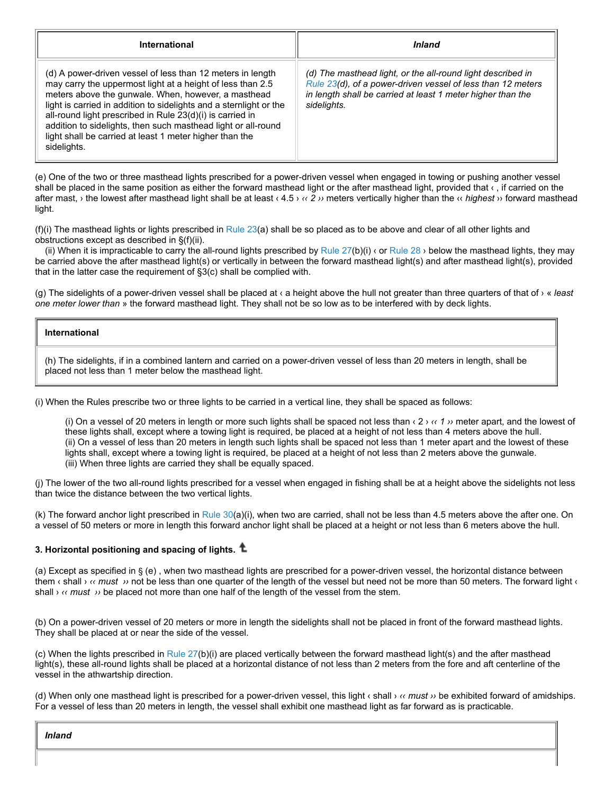| <b>International</b>                                                                                                                                                                                                                                                                                                                                                                                                                                          | <i><b>Inland</b></i>                                                                                                                                                                                     |
|---------------------------------------------------------------------------------------------------------------------------------------------------------------------------------------------------------------------------------------------------------------------------------------------------------------------------------------------------------------------------------------------------------------------------------------------------------------|----------------------------------------------------------------------------------------------------------------------------------------------------------------------------------------------------------|
| (d) A power-driven vessel of less than 12 meters in length<br>may carry the uppermost light at a height of less than 2.5<br>meters above the gunwale. When, however, a masthead<br>light is carried in addition to sidelights and a sternlight or the<br>all-round light prescribed in Rule 23(d)(i) is carried in<br>addition to sidelights, then such masthead light or all-round<br>light shall be carried at least 1 meter higher than the<br>sidelights. | (d) The masthead light, or the all-round light described in<br>Rule 23(d), of a power-driven vessel of less than 12 meters<br>in length shall be carried at least 1 meter higher than the<br>sidelights. |

(e) One of the two or three masthead lights prescribed for a power-driven vessel when engaged in towing or pushing another vessel shall be placed in the same position as either the forward masthead light or the after masthead light, provided that ‹ , if carried on the after mast, › the lowest after masthead light shall be at least ‹ 4.5 › *‹‹ 2 ››* meters vertically higher than the ‹‹ *highest* ›› forward masthead light.

(f)(i) The masthead lights or lights prescribed in Rule  $23(a)$  shall be so placed as to be above and clear of all other lights and obstructions except as described in §(f)(ii).

(ii) When it is impracticable to carry the all-round lights prescribed by Rule  $27(b)(i)$  or [Rule 28](#page-15-0) > below the masthead lights, they may be carried above the after masthead light(s) or vertically in between the forward masthead light(s) and after masthead light(s), provided that in the latter case the requirement of §3(c) shall be complied with.

(g) The sidelights of a power-driven vessel shall be placed at ‹ a height above the hull not greater than three quarters of that of › « *least one meter lower than* » the forward masthead light. They shall not be so low as to be interfered with by deck lights.

### **International**

(h) The sidelights, if in a combined lantern and carried on a power-driven vessel of less than 20 meters in length, shall be placed not less than 1 meter below the masthead light.

(i) When the Rules prescribe two or three lights to be carried in a vertical line, they shall be spaced as follows:

(i) On a vessel of 20 meters in length or more such lights shall be spaced not less than ‹ 2 › *‹‹ 1 ››* meter apart, and the lowest of these lights shall, except where a towing light is required, be placed at a height of not less than 4 meters above the hull. (ii) On a vessel of less than 20 meters in length such lights shall be spaced not less than 1 meter apart and the lowest of these lights shall, except where a towing light is required, be placed at a height of not less than 2 meters above the gunwale. (iii) When three lights are carried they shall be equally spaced.

(j) The lower of the two all-round lights prescribed for a vessel when engaged in fishing shall be at a height above the sidelights not less than twice the distance between the two vertical lights.

(k) The forward anchor light prescribed in [Rule 30](#page-16-1)(a)(i), when two are carried, shall not be less than 4.5 meters above the after one. On a vessel of 50 meters or more in length this forward anchor light shall be placed at a height or not less than 6 meters above the hull.

# **3. Horizontal positioning and spacing of lights.**

(a) Except as specified in § (e) , when two masthead lights are prescribed for a power-driven vessel, the horizontal distance between them  $\epsilon$  shall  $\epsilon$  *i* must  $\epsilon$  not be less than one quarter of the length of the vessel but need not be more than 50 meters. The forward light  $\epsilon$ shall › *‹‹ must ››* be placed not more than one half of the length of the vessel from the stem.

(b) On a power-driven vessel of 20 meters or more in length the sidelights shall not be placed in front of the forward masthead lights. They shall be placed at or near the side of the vessel.

(c) When the lights prescribed in [Rule 27\(](#page-14-1)b)(i) are placed vertically between the forward masthead light(s) and the after masthead light(s), these all-round lights shall be placed at a horizontal distance of not less than 2 meters from the fore and aft centerline of the vessel in the athwartship direction.

(d) When only one masthead light is prescribed for a power-driven vessel, this light ‹ shall › *‹‹ must ››* be exhibited forward of amidships. For a vessel of less than 20 meters in length, the vessel shall exhibit one masthead light as far forward as is practicable.

*Inland*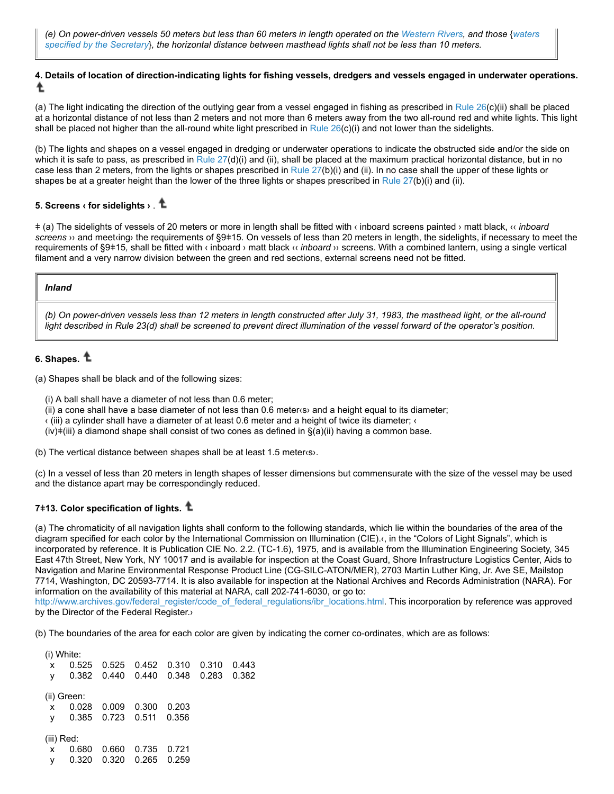### **4. Details of location of direction-indicating lights for fishing vessels, dredgers and vessels engaged in underwater operations.** Ł

(a) The light indicating the direction of the outlying gear from a vessel engaged in fishing as prescribed in [Rule 26](#page-14-0)(c)(ii) shall be placed at a horizontal distance of not less than 2 meters and not more than 6 meters away from the two all-round red and white lights. This light shall be placed not higher than the all-round white light prescribed in Rule  $26(c)(i)$  and not lower than the sidelights.

(b) The lights and shapes on a vessel engaged in dredging or underwater operations to indicate the obstructed side and/or the side on which it is safe to pass, as prescribed in Rule  $27(d)(i)$  and (ii), shall be placed at the maximum practical horizontal distance, but in no case less than 2 meters, from the lights or shapes prescribed in [Rule 27\(](#page-14-1)b)(i) and (ii). In no case shall the upper of these lights or shapes be at a greater height than the lower of the three lights or shapes prescribed in [Rule 27](#page-14-1)(b)(i) and (ii).

## **5. Screens ‹ for sidelights ›** .

ǂ (a) The sidelights of vessels of 20 meters or more in length shall be fitted with ‹ inboard screens painted › matt black, ‹‹ *inboard screens* ›› and meet‹ing› the requirements of §9ǂ15*.* On vessels of less than 20 meters in length, the sidelights, if necessary to meet the requirements of §9ǂ15*,* shall be fitted with ‹ inboard › matt black ‹‹ *inboard* ›› screens. With a combined lantern, using a single vertical filament and a very narrow division between the green and red sections, external screens need not be fitted.

### *Inland*

*(b) On power-driven vessels less than 12 meters in length constructed after July 31, 1983, the masthead light, or the all-round light described in Rule 23(d) shall be screened to prevent direct illumination of the vessel forward of the operator's position.*

## **6. Shapes.**

(a) Shapes shall be black and of the following sizes:

- (i) A ball shall have a diameter of not less than 0.6 meter;
- (ii) a cone shall have a base diameter of not less than 0.6 meter‹s› and a height equal to its diameter;
- ‹ (iii) a cylinder shall have a diameter of at least 0.6 meter and a height of twice its diameter; ‹
- (iv) $\pm$ (iii) a diamond shape shall consist of two cones as defined in  $\S(a)(ii)$  having a common base.

(b) The vertical distance between shapes shall be at least 1.5 meter‹s›.

(c) In a vessel of less than 20 meters in length shapes of lesser dimensions but commensurate with the size of the vessel may be used and the distance apart may be correspondingly reduced.

## **7**ǂ**13. Color specification of lights.**

(a) The chromaticity of all navigation lights shall conform to the following standards, which lie within the boundaries of the area of the diagram specified for each color by the International Commission on Illumination (CIE).‹, in the "Colors of Light Signals", which is incorporated by reference. It is Publication CIE No. 2.2. (TC-1.6), 1975, and is available from the Illumination Engineering Society, 345 East 47th Street, New York, NY 10017 and is available for inspection at the Coast Guard, Shore Infrastructure Logistics Center, Aids to Navigation and Marine Environmental Response Product Line (CG-SILC-ATON/MER), 2703 Martin Luther King, Jr. Ave SE, Mailstop 7714, Washington, DC 20593-7714. It is also available for inspection at the National Archives and Records Administration (NARA). For information on the availability of this material at NARA, call 202-741-6030, or go to:

[http://www.archives.gov/federal\\_register/code\\_of\\_federal\\_regulations/ibr\\_locations.html](http://www.archives.gov/federal_register/code_of_federal_regulations/ibr_locations.html). This incorporation by reference was approved by the Director of the Federal Register.›

(b) The boundaries of the area for each color are given by indicating the corner co-ordinates, which are as follows:

|              | (i) White:  |                                   |       |       |                                          |       |
|--------------|-------------|-----------------------------------|-------|-------|------------------------------------------|-------|
| $\mathsf{x}$ |             | 0.525  0.525  0.452  0.310  0.310 |       |       |                                          | 0.443 |
| ۷            |             |                                   |       |       | 0.382  0.440  0.440  0.348  0.283  0.382 |       |
|              |             |                                   |       |       |                                          |       |
|              | (ii) Green: |                                   |       |       |                                          |       |
| $\mathsf{x}$ | 0.028       | 0.009                             | 0.300 | 0.203 |                                          |       |
| V.           |             | 0.385 0.723 0.511 0.356           |       |       |                                          |       |
|              |             |                                   |       |       |                                          |       |
| (iii) Red:   |             |                                   |       |       |                                          |       |
| <b>X</b>     | 0.680       | 0.660                             | 0.735 | 0.721 |                                          |       |
| ٧            |             | 0.320 0.320 0.265 0.259           |       |       |                                          |       |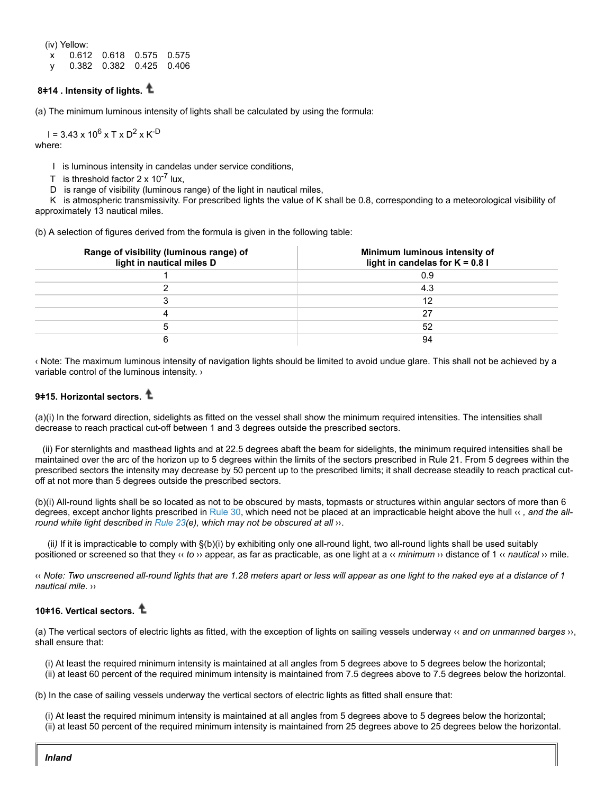(iv) Yellow: x 0.612 0.618 0.575 0.575 y 0.382 0.382 0.425 0.406

## **8ǂ14 . Intensity of lights.**

(a) The minimum luminous intensity of lights shall be calculated by using the formula:

 $I = 3.43 \times 10^6 \times T \times D^2 \times K^{-D}$ 

where:

I is luminous intensity in candelas under service conditions,

T is threshold factor  $2 \times 10^{-7}$  lux,

D is range of visibility (luminous range) of the light in nautical miles,

 K is atmospheric transmissivity. For prescribed lights the value of K shall be 0.8, corresponding to a meteorological visibility of approximately 13 nautical miles.

(b) A selection of figures derived from the formula is given in the following table:

| Range of visibility (luminous range) of<br>light in nautical miles D | Minimum luminous intensity of<br>light in candelas for $K = 0.8$ l |
|----------------------------------------------------------------------|--------------------------------------------------------------------|
|                                                                      | 0.9                                                                |
|                                                                      | 4.3                                                                |
| Ĵ٥                                                                   | 12                                                                 |
|                                                                      | 27                                                                 |
|                                                                      | 52                                                                 |
|                                                                      | 94                                                                 |

‹ Note: The maximum luminous intensity of navigation lights should be limited to avoid undue glare. This shall not be achieved by a variable control of the luminous intensity. ›

# **9ǂ15. Horizontal sectors.**

(a)(i) In the forward direction, sidelights as fitted on the vessel shall show the minimum required intensities. The intensities shall decrease to reach practical cut-off between 1 and 3 degrees outside the prescribed sectors.

 (ii) For sternlights and masthead lights and at 22.5 degrees abaft the beam for sidelights, the minimum required intensities shall be maintained over the arc of the horizon up to 5 degrees within the limits of the sectors prescribed in Rule 21. From 5 degrees within the prescribed sectors the intensity may decrease by 50 percent up to the prescribed limits; it shall decrease steadily to reach practical cutoff at not more than 5 degrees outside the prescribed sectors.

(b)(i) All-round lights shall be so located as not to be obscured by masts, topmasts or structures within angular sectors of more than 6 degrees, except anchor lights prescribed in [Rule 30](#page-16-1), which need not be placed at an impracticable height above the hull ‹‹ *, and the allround white light described in [Rule 23](#page-10-2)(e), which may not be obscured at all* ››.

 (ii*)* If it is impracticable to comply with §(b)(i) by exhibiting only one all-round light, two all-round lights shall be used suitably positioned or screened so that they ‹‹ *to* ›› appear, as far as practicable, as one light at a ‹‹ *minimum* ›› distance of 1 ‹‹ *nautical* ›› mile.

‹‹ *Note: Two unscreened all-round lights that are 1.28 meters apart or less will appear as one light to the naked eye at a distance of 1 nautical mile.* ››

## **10ǂ16. Vertical sectors.**

(a) The vertical sectors of electric lights as fitted, with the exception of lights on sailing vessels underway ‹‹ *and on unmanned barges* ››, shall ensure that:

 (i) At least the required minimum intensity is maintained at all angles from 5 degrees above to 5 degrees below the horizontal; (ii) at least 60 percent of the required minimum intensity is maintained from 7.5 degrees above to 7.5 degrees below the horizontal.

(b) In the case of sailing vessels underway the vertical sectors of electric lights as fitted shall ensure that:

 (i) At least the required minimum intensity is maintained at all angles from 5 degrees above to 5 degrees below the horizontal; (ii) at least 50 percent of the required minimum intensity is maintained from 25 degrees above to 25 degrees below the horizontal.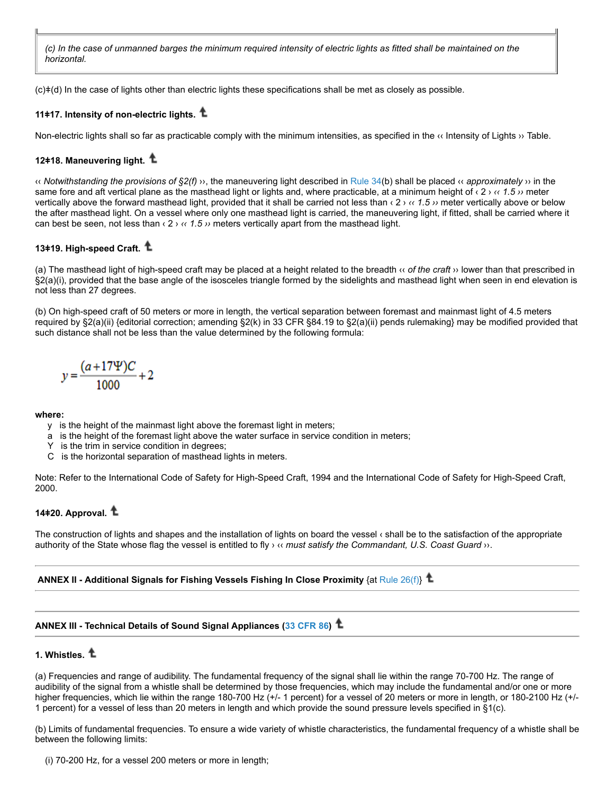*(c) In the case of unmanned barges the minimum required intensity of electric lights as fitted shall be maintained on the horizontal.*

(c)ǂ(d) In the case of lights other than electric lights these specifications shall be met as closely as possible.

## **11ǂ17. Intensity of non-electric lights.**

Non-electric lights shall so far as practicable comply with the minimum intensities, as specified in the « Intensity of Lights » Table.

### **12ǂ18. Maneuvering light.**

‹‹ *Notwithstanding the provisions of §2(f)* ››, the maneuvering light described in [Rule 34\(](#page-17-1)b) shall be placed ‹‹ *approximately* ›› in the same fore and aft vertical plane as the masthead light or lights and, where practicable, at a minimum height of ‹ 2 › *‹‹ 1.5 ››* meter vertically above the forward masthead light, provided that it shall be carried not less than ‹ 2 › *‹‹ 1.5 ››* meter vertically above or below the after masthead light. On a vessel where only one masthead light is carried, the maneuvering light, if fitted, shall be carried where it can best be seen, not less than ‹ 2 › *‹‹ 1.5 ››* meters vertically apart from the masthead light.

## **13ǂ19. High-speed Craft.**

(a) The masthead light of high-speed craft may be placed at a height related to the breadth ‹‹ *of the craft* ›› lower than that prescribed in §2(a)(i), provided that the base angle of the isosceles triangle formed by the sidelights and masthead light when seen in end elevation is not less than 27 degrees.

(b) On high-speed craft of 50 meters or more in length, the vertical separation between foremast and mainmast light of 4.5 meters required by §2(a)(ii) {editorial correction; amending §2(k) in 33 CFR §84.19 to §2(a)(ii) pends rulemaking} may be modified provided that such distance shall not be less than the value determined by the following formula:

$$
y = \frac{(a+17\Psi)C}{1000} + 2
$$

#### **where:**

- y is the height of the mainmast light above the foremast light in meters;
- a is the height of the foremast light above the water surface in service condition in meters;
- Y is the trim in service condition in degrees;
- C is the horizontal separation of masthead lights in meters.

Note: Refer to the International Code of Safety for High-Speed Craft, 1994 and the International Code of Safety for High-Speed Craft, 2000.

## **14ǂ20. Approval.**

The construction of lights and shapes and the installation of lights on board the vessel ‹ shall be to the satisfaction of the appropriate authority of the State whose flag the vessel is entitled to fly › ‹‹ *must satisfy the Commandant, U.S. Coast Guard* ››.

### <span id="page-27-0"></span>**ANNEX II - Additional Signals for Fishing Vessels Fishing In Close Proximity {at [Rule 26\(f\)](#page-14-0)}**

## <span id="page-27-1"></span>**ANNEX III - Technical Details of Sound Signal Appliances [\(33 CFR 86\)](https://www.ecfr.gov/cgi-bin/text-idx?SID=3f1421dc9fb9ba18e51aa131ae806704&mc=true&node=pt33.1.86&rgn=div5)**

# **1. Whistles.**

(a) Frequencies and range of audibility. The fundamental frequency of the signal shall lie within the range 70-700 Hz. The range of audibility of the signal from a whistle shall be determined by those frequencies, which may include the fundamental and/or one or more higher frequencies, which lie within the range 180-700 Hz (+/- 1 percent) for a vessel of 20 meters or more in length, or 180-2100 Hz (+/- 1 percent) for a vessel of less than 20 meters in length and which provide the sound pressure levels specified in §1(c).

(b) Limits of fundamental frequencies. To ensure a wide variety of whistle characteristics, the fundamental frequency of a whistle shall be between the following limits:

(i) 70-200 Hz, for a vessel 200 meters or more in length;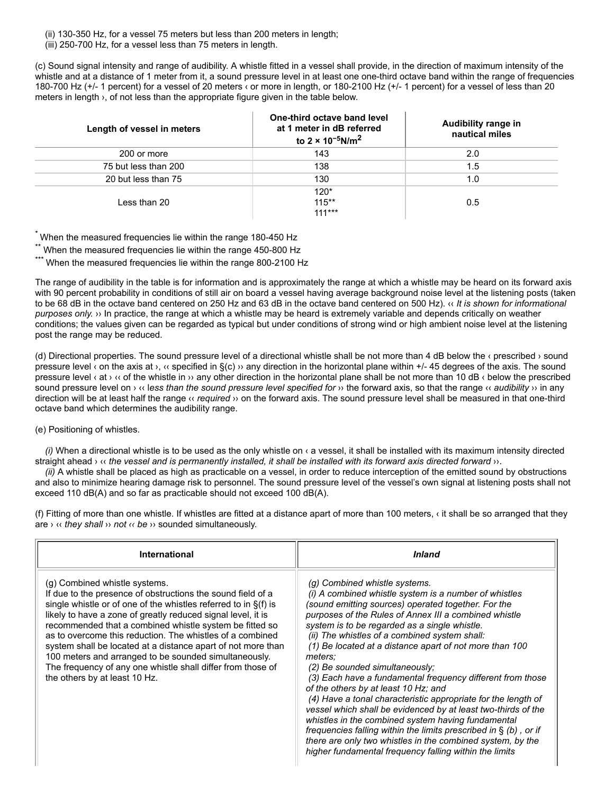(ii) 130-350 Hz, for a vessel 75 meters but less than 200 meters in length;

(iii) 250-700 Hz, for a vessel less than 75 meters in length.

(c) Sound signal intensity and range of audibility. A whistle fitted in a vessel shall provide, in the direction of maximum intensity of the whistle and at a distance of 1 meter from it, a sound pressure level in at least one one-third octave band within the range of frequencies 180-700 Hz (+/- 1 percent) for a vessel of 20 meters ‹ or more in length, or 180-2100 Hz (+/- 1 percent) for a vessel of less than 20 meters in length  $\lambda$ , of not less than the appropriate figure given in the table below.

| Length of vessel in meters | One-third octave band level<br>at 1 meter in dB referred<br>to 2 × 10 <sup>-5</sup> N/m <sup>2</sup> | Audibility range in<br>nautical miles |
|----------------------------|------------------------------------------------------------------------------------------------------|---------------------------------------|
| 200 or more                | 143                                                                                                  | 2.0                                   |
| 75 but less than 200       | 138                                                                                                  | 1.5                                   |
| 20 but less than 75        | 130                                                                                                  | 1.0                                   |
| Less than 20               | $120*$<br>$115***$<br>$111***$                                                                       | 0.5                                   |

\* When the measured frequencies lie within the range 180-450 Hz

 $^*$  When the measured frequencies lie within the range 450-800 Hz

When the measured frequencies lie within the range 800-2100 Hz

The range of audibility in the table is for information and is approximately the range at which a whistle may be heard on its forward axis with 90 percent probability in conditions of still air on board a vessel having average background noise level at the listening posts (taken to be 68 dB in the octave band centered on 250 Hz and 63 dB in the octave band centered on 500 Hz). ‹‹ *It is shown for informational purposes only.* ›› In practice, the range at which a whistle may be heard is extremely variable and depends critically on weather conditions; the values given can be regarded as typical but under conditions of strong wind or high ambient noise level at the listening post the range may be reduced.

(d) Directional properties. The sound pressure level of a directional whistle shall be not more than 4 dB below the ‹ prescribed › sound pressure level < on the axis at >, << specified in §(c) >> any direction in the horizontal plane within +/- 45 degrees of the axis. The sound pressure level  $\left\langle$  at  $\right\rangle$   $\left\langle$  of the whistle in  $\right\rangle$  any other direction in the horizontal plane shall be not more than 10 dB  $\left\langle$  below the prescribed sound pressure level on › ‹‹ l*ess than the sound pressure level specified for* ›› the forward axis, so that the range ‹‹ *audibility* ›› in any direction will be at least half the range ‹‹ *required* ›› on the forward axis. The sound pressure level shall be measured in that one-third octave band which determines the audibility range.

### (e) Positioning of whistles.

*(i)* When a directional whistle is to be used as the only whistle on ‹ a vessel, it shall be installed with its maximum intensity directed straight ahead › ‹‹ *the vessel and is permanently installed, it shall be installed with its forward axis directed forward* ››.

*(ii)* A whistle shall be placed as high as practicable on a vessel, in order to reduce interception of the emitted sound by obstructions and also to minimize hearing damage risk to personnel. The sound pressure level of the vessel's own signal at listening posts shall not exceed 110 dB(A) and so far as practicable should not exceed 100 dB(A).

(f) Fitting of more than one whistle. If whistles are fitted at a distance apart of more than 100 meters, ‹ it shall be so arranged that they are › ‹‹ *they shall* ›› *not ‹‹ be* ›› sounded simultaneously.

| <b>International</b>                                                                                                                                                                                                                                                                                                                                                                                                                                                                                                                                                                | <i><b>Inland</b></i>                                                                                                                                                                                                                                                                                                                                                                                                                                                                                                                                                                                                                                                                                                                                                                                                                                                                                          |
|-------------------------------------------------------------------------------------------------------------------------------------------------------------------------------------------------------------------------------------------------------------------------------------------------------------------------------------------------------------------------------------------------------------------------------------------------------------------------------------------------------------------------------------------------------------------------------------|---------------------------------------------------------------------------------------------------------------------------------------------------------------------------------------------------------------------------------------------------------------------------------------------------------------------------------------------------------------------------------------------------------------------------------------------------------------------------------------------------------------------------------------------------------------------------------------------------------------------------------------------------------------------------------------------------------------------------------------------------------------------------------------------------------------------------------------------------------------------------------------------------------------|
| (g) Combined whistle systems.<br>If due to the presence of obstructions the sound field of a<br>single whistle or of one of the whistles referred to in $\S(f)$ is<br>likely to have a zone of greatly reduced signal level, it is<br>recommended that a combined whistle system be fitted so<br>as to overcome this reduction. The whistles of a combined<br>system shall be located at a distance apart of not more than<br>100 meters and arranged to be sounded simultaneously.<br>The frequency of any one whistle shall differ from those of<br>the others by at least 10 Hz. | (g) Combined whistle systems.<br>(i) A combined whistle system is a number of whistles<br>(sound emitting sources) operated together. For the<br>purposes of the Rules of Annex III a combined whistle<br>system is to be regarded as a single whistle.<br>(ii) The whistles of a combined system shall:<br>(1) Be located at a distance apart of not more than 100<br>meters:<br>(2) Be sounded simultaneously:<br>(3) Each have a fundamental frequency different from those<br>of the others by at least 10 Hz; and<br>(4) Have a tonal characteristic appropriate for the length of<br>vessel which shall be evidenced by at least two-thirds of the<br>whistles in the combined system having fundamental<br>frequencies falling within the limits prescribed in $\S$ (b), or if<br>there are only two whistles in the combined system, by the<br>higher fundamental frequency falling within the limits |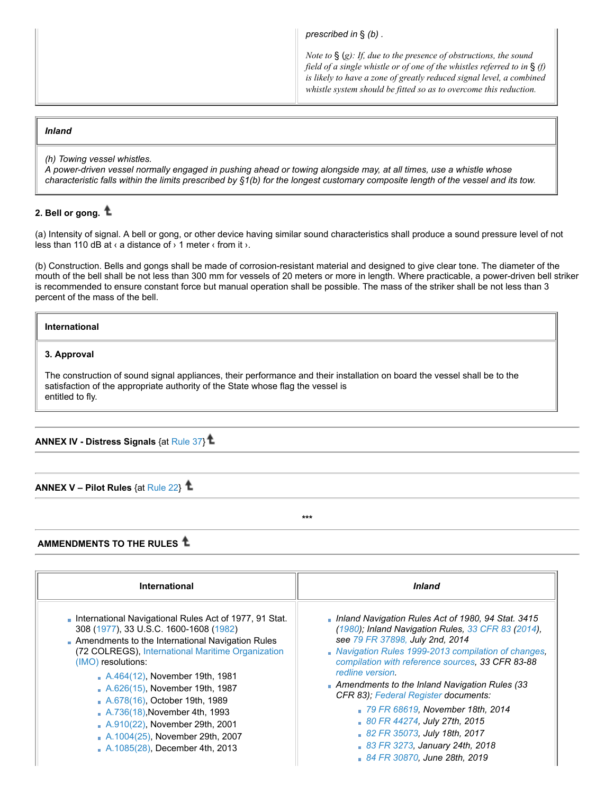*prescribed in* § *(b) .*

*Note to* § (*g): If, due to the presence of obstructions, the sound field of a single whistle or of one of the whistles referred to in* § *(f) is likely to have a zone of greatly reduced signal level, a combined whistle system should be fitted so as to overcome this reduction.*

### *Inland*

*(h) Towing vessel whistles.*

*A power-driven vessel normally engaged in pushing ahead or towing alongside may, at all times, use a whistle whose characteristic falls within the limits prescribed by §1(b) for the longest customary composite length of the vessel and its tow.*

# **2. Bell or gong.**

(a) Intensity of signal. A bell or gong, or other device having similar sound characteristics shall produce a sound pressure level of not less than 110 dB at  $\left\langle \right.$  a distance of  $\left\rangle$  1 meter  $\left\langle \right.$  from it  $\left. \right\rangle$ .

(b) Construction. Bells and gongs shall be made of corrosion-resistant material and designed to give clear tone. The diameter of the mouth of the bell shall be not less than 300 mm for vessels of 20 meters or more in length. Where practicable, a power-driven bell striker is recommended to ensure constant force but manual operation shall be possible. The mass of the striker shall be not less than 3 percent of the mass of the bell.

### **International**

#### **3. Approval**

The construction of sound signal appliances, their performance and their installation on board the vessel shall be to the satisfaction of the appropriate authority of the State whose flag the vessel is entitled to fly.

# **ANNEX IV - Distress Signals** {at [Rule 37](#page-20-1)[}](#page-0-0)

<span id="page-29-1"></span>**ANNEX V – Pilot Rules** {at Rule 22}

<span id="page-29-0"></span>**AMMENDMENTS TO THE RULES**

| <b>International</b>                                                                                                                                                                                                                                                                                                                                                                                                                                                                                   | <i><b>Inland</b></i>                                                                                                                                                                                                                                                                                                                                                                                                                                                                                                                     |
|--------------------------------------------------------------------------------------------------------------------------------------------------------------------------------------------------------------------------------------------------------------------------------------------------------------------------------------------------------------------------------------------------------------------------------------------------------------------------------------------------------|------------------------------------------------------------------------------------------------------------------------------------------------------------------------------------------------------------------------------------------------------------------------------------------------------------------------------------------------------------------------------------------------------------------------------------------------------------------------------------------------------------------------------------------|
| <b>International Navigational Rules Act of 1977, 91 Stat.</b><br>308 (1977), 33 U.S.C. 1600-1608 (1982)<br>Amendments to the International Navigation Rules<br>(72 COLREGS), International Maritime Organization<br>(IMO) resolutions:<br>$A.464(12)$ , November 19th, 1981<br>$A.626(15)$ , November 19th, 1987<br>A.678(16), October 19th, 1989<br>$A.736(18)$ , November 4th, 1993<br>$\Box$ A.910(22), November 29th, 2001<br>$A.1004(25)$ , November 29th, 2007<br>A.1085(28), December 4th, 2013 | Inland Navigation Rules Act of 1980, 94 Stat. 3415<br>(1980); Inland Navigation Rules, 33 CFR 83 (2014),<br>see 79 FR 37898, July 2nd, 2014<br>Navigation Rules 1999-2013 compilation of changes,<br>compilation with reference sources, 33 CFR 83-88<br>redline version.<br>Amendments to the Inland Navigation Rules (33<br>CFR 83): Federal Register documents:<br>79 FR 68619, November 18th, 2014<br>80 FR 44274, July 27th, 2015<br>82 FR 35073, July 18th, 2017<br>83 FR 3273, January 24th, 2018<br>84 FR 30870, June 28th, 2019 |

**\*\*\***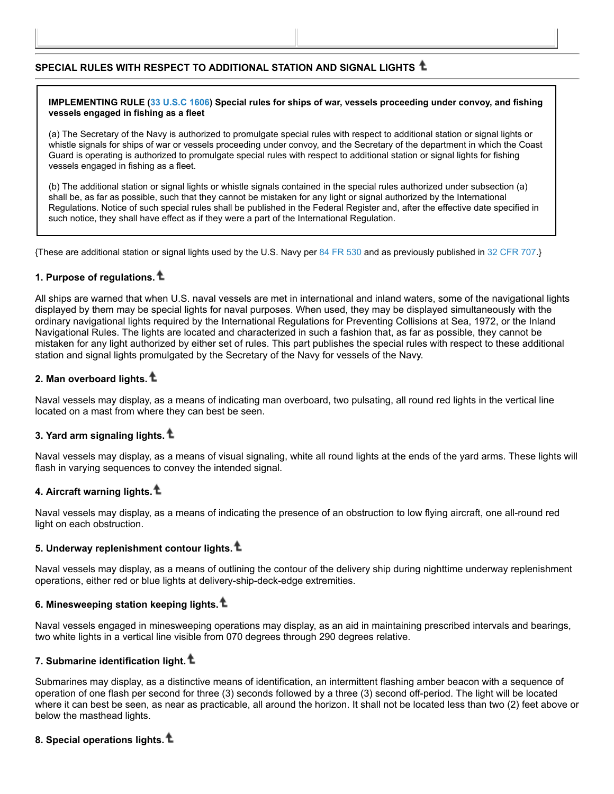# **SPECIAL RULES WITH RESPECT TO ADDITIONAL STATION AND SIGNAL LIGHTS**

<span id="page-30-0"></span>**IMPLEMENTING RULE ([33 U.S.C 1606](https://uscode.house.gov/view.xhtml?req=granuleid:USC-prelim-title33-section1606&num=0&edition=prelim)) Special rules for ships of war, vessels proceeding under convoy, and fishing vessels engaged in fishing as a fleet**

(a) The Secretary of the Navy is authorized to promulgate special rules with respect to additional station or signal lights or whistle signals for ships of war or vessels proceeding under convoy, and the Secretary of the department in which the Coast Guard is operating is authorized to promulgate special rules with respect to additional station or signal lights for fishing vessels engaged in fishing as a fleet.

(b) The additional station or signal lights or whistle signals contained in the special rules authorized under subsection (a) shall be, as far as possible, such that they cannot be mistaken for any light or signal authorized by the International Regulations. Notice of such special rules shall be published in the Federal Register and, after the effective date specified in such notice, they shall have effect as if they were a part of the International Regulation.

{These are additional station or signal lights used by the U.S. Navy per [84 FR 530](https://www.navcen.uscg.gov/pdf/84_FR_530_USN_Special_Rules.pdf) and as previously published in [32 CFR 707](https://www.navcen.uscg.gov/pdf/navRules/32_CFR_707_2018_USN_Special_Lights.pdf).}

## **1. Purpose of regulations.**

All ships are warned that when U.S. naval vessels are met in international and inland waters, some of the navigational lights displayed by them may be special lights for naval purposes. When used, they may be displayed simultaneously with the ordinary navigational lights required by the International Regulations for Preventing Collisions at Sea, 1972, or the Inland Navigational Rules. The lights are located and characterized in such a fashion that, as far as possible, they cannot be mistaken for any light authorized by either set of rules. This part publishes the special rules with respect to these additional station and signal lights promulgated by the Secretary of the Navy for vessels of the Navy.

# **[2. Man overboard lights.](#page-0-0)**

[Naval vessels may display, as a means of indicating man overboard, two pulsating, all round red lights in the vertical line](#page-0-0) located on a mast from where they can best be seen.

## **[3. Yard arm signaling lights.](#page-0-0)**

[Naval vessels may display, as a means of visual signaling, white all round lights at the ends of the yard arms. These lights will](#page-0-0) flash in varying sequences to convey the intended signal.

## **[4. Aircraft warning lights.](#page-0-0)**

[Naval vessels may display, as a means of indicating the presence of an obstruction to low flying aircraft, one all-round red](#page-0-0) light on each obstruction.

# **[5. Underway replenishment contour lights.](#page-0-0)**

[Naval vessels may display, as a means of outlining the contour of the delivery ship during nighttime underway replenishment](#page-0-0) operations, either red or blue lights at delivery-ship-deck-edge extremities.

## **[6. Minesweeping station keeping lights.](#page-0-0)**

[Naval vessels engaged in minesweeping operations may display, as an aid in maintaining prescribed intervals and bearings,](#page-0-0) two white lights in a vertical line visible from 070 degrees through 290 degrees relative.

## **[7. Submarine identification light.](#page-0-0)**

Submarines may display, as a distinctive means of identification, an intermittent flashing amber beacon with a sequence of operation of one flash per second for three (3) seconds followed by a three (3) second off-period. The light will be located [where it can best be seen, as near as practicable, all around the horizon. It shall not be located less than two \(2\) feet above or](#page-0-0) below the masthead lights.

## **[8. Special operations lights.](#page-0-0)**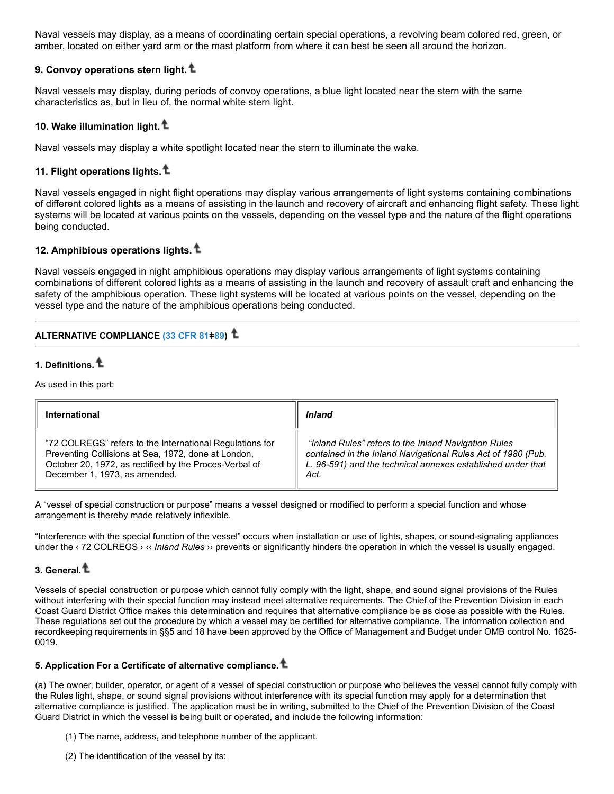[Naval vessels may display, as a means of coordinating certain special operations, a revolving beam colored red, green, or](#page-0-0) amber, located on either yard arm or the mast platform from where it can best be seen all around the horizon.

## **[9. Convoy operations stern light.](#page-0-0)**

[Naval vessels may display, during periods of convoy operations, a blue light located near the stern with the same](#page-0-0) characteristics as, but in lieu of, the normal white stern light.

## **[10. Wake illumination light.](#page-0-0)**

[Naval vessels may display a white spotlight located near the stern to illuminate the wake.](#page-0-0)

# **[11. Flight operations lights.](#page-0-0)**

Naval vessels engaged in night flight operations may display various arrangements of light systems containing combinations [of different colored lights as a means of assisting in the launch and recovery of aircraft and enhancing flight safety. These light](#page-0-0) systems will be located at various points on the vessels, depending on the vessel type and the nature of the flight operations being conducted.

## **[12. Amphibious operations lights.](#page-0-0)**

Naval vessels engaged in night amphibious operations may display various arrangements of light systems containing [combinations of different colored lights as a means of assisting in the launch and recovery of assault craft and enhancing the](#page-0-0) safety of the amphibious operation. These light systems will be located at various points on the vessel, depending on the vessel type and the nature of the amphibious operations being conducted.

# <span id="page-31-0"></span>**ALTERNATIVE COMPLIANCE [\(33 CFR 81ǂ](https://www.ecfr.gov/cgi-bin/text-idx?SID=ad3a21db057dee8f1183f817a3a56028&mc=true&node=sg33.1.81_13.sg0&rgn=div7)[89\)](https://www.ecfr.gov/cgi-bin/text-idx?SID=b98e1f6faa3414d8cf0d4a58ced7d57e&mc=true&node=sp33.1.89.a&rgn=div6)**

# **1. Definitions.**

As used in this part:

| <b>International</b>                                     | <i><b>Inland</b></i>                                         |
|----------------------------------------------------------|--------------------------------------------------------------|
| "72 COLREGS" refers to the International Regulations for | "Inland Rules" refers to the Inland Navigation Rules         |
| Preventing Collisions at Sea, 1972, done at London,      | contained in the Inland Navigational Rules Act of 1980 (Pub. |
| October 20, 1972, as rectified by the Proces-Verbal of   | L. 96-591) and the technical annexes established under that  |
| December 1, 1973, as amended.                            | Act.                                                         |

A "vessel of special construction or purpose" means a vessel designed or modified to perform a special function and whose arrangement is thereby made relatively inflexible.

"Interference with the special function of the vessel" occurs when installation or use of lights, shapes, or sound-signaling appliances under the ‹ 72 COLREGS › ‹‹ *Inland Rules* ›› prevents or significantly hinders the operation in which the vessel is usually engaged.

# **3. General.**

Vessels of special construction or purpose which cannot fully comply with the light, shape, and sound signal provisions of the Rules without interfering with their special function may instead meet alternative requirements. The Chief of the Prevention Division in each Coast Guard District Office makes this determination and requires that alternative compliance be as close as possible with the Rules. These regulations set out the procedure by which a vessel may be certified for alternative compliance. The information collection and recordkeeping requirements in §§5 and 18 have been approved by the Office of Management and Budget under OMB control No. 1625- 0019.

## **5. Application For a Certificate of alternative compliance.**

(a) The owner, builder, operator, or agent of a vessel of special construction or purpose who believes the vessel cannot fully comply with the Rules light, shape, or sound signal provisions without interference with its special function may apply for a determination that alternative compliance is justified. The application must be in writing, submitted to the Chief of the Prevention Division of the Coast Guard District in which the vessel is being built or operated, and include the following information:

- (1) The name, address, and telephone number of the applicant.
- (2) The identification of the vessel by its: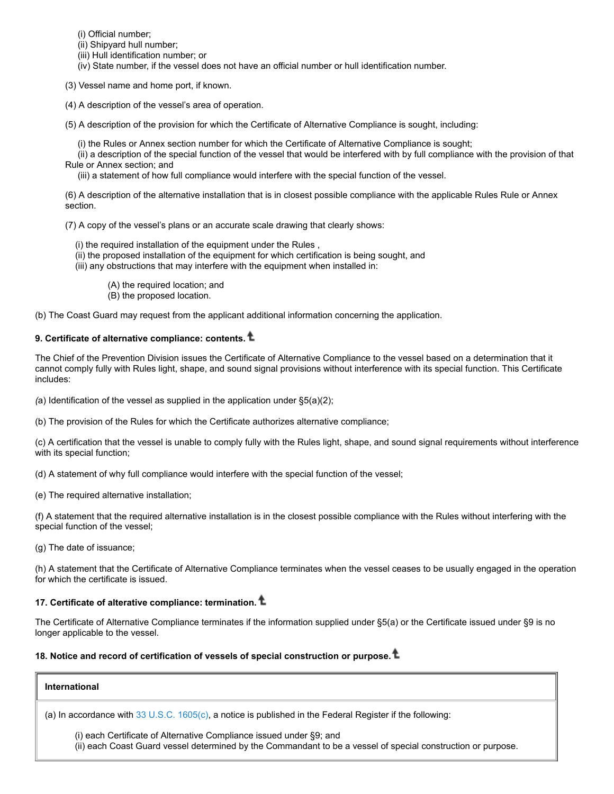(i) Official number;

- (ii) Shipyard hull number;
- (iii) Hull identification number; or
- (iv) State number, if the vessel does not have an official number or hull identification number.

(3) Vessel name and home port, if known.

(4) A description of the vessel's area of operation.

(5) A description of the provision for which the Certificate of Alternative Compliance is sought, including:

(i) the Rules or Annex section number for which the Certificate of Alternative Compliance is sought;

 (ii) a description of the special function of the vessel that would be interfered with by full compliance with the provision of that Rule or Annex section; and

(iii) a statement of how full compliance would interfere with the special function of the vessel.

(6) A description of the alternative installation that is in closest possible compliance with the applicable Rules Rule or Annex section.

(7) A copy of the vessel's plans or an accurate scale drawing that clearly shows:

(i) the required installation of the equipment under the Rules ,

- (ii) the proposed installation of the equipment for which certification is being sought, and
- (iii) any obstructions that may interfere with the equipment when installed in:
	- (A) the required location; and
	- (B) the proposed location.

(b) The Coast Guard may request from the applicant additional information concerning the application.

## **9. Certificate of alternative compliance: contents.**

The Chief of the Prevention Division issues the Certificate of Alternative Compliance to the vessel based on a determination that it cannot comply fully with Rules light, shape, and sound signal provisions without interference with its special function. This Certificate includes:

*(*a) Identification of the vessel as supplied in the application under §5(a)(2);

(b) The provision of the Rules for which the Certificate authorizes alternative compliance;

(c) A certification that the vessel is unable to comply fully with the Rules light, shape, and sound signal requirements without interference with its special function;

(d) A statement of why full compliance would interfere with the special function of the vessel;

(e) The required alternative installation;

(f) A statement that the required alternative installation is in the closest possible compliance with the Rules without interfering with the special function of the vessel;

(g) The date of issuance;

(h) A statement that the Certificate of Alternative Compliance terminates when the vessel ceases to be usually engaged in the operation for which the certificate is issued.

# **17. Certificate of alterative compliance: termination.**

The Certificate of Alternative Compliance terminates if the information supplied under §5(a) or the Certificate issued under §9 is no longer applicable to the vessel.

## **18. Notice and record of certification of vessels of special construction or purpose.**

### **International**

(a) In accordance with  $33 \cup S.C. 1605(c)$ , a notice is published in the Federal Register if the following:

(i) each Certificate of Alternative Compliance issued under §9; and

(ii) each Coast Guard vessel determined by the Commandant to be a vessel of special construction or purpose.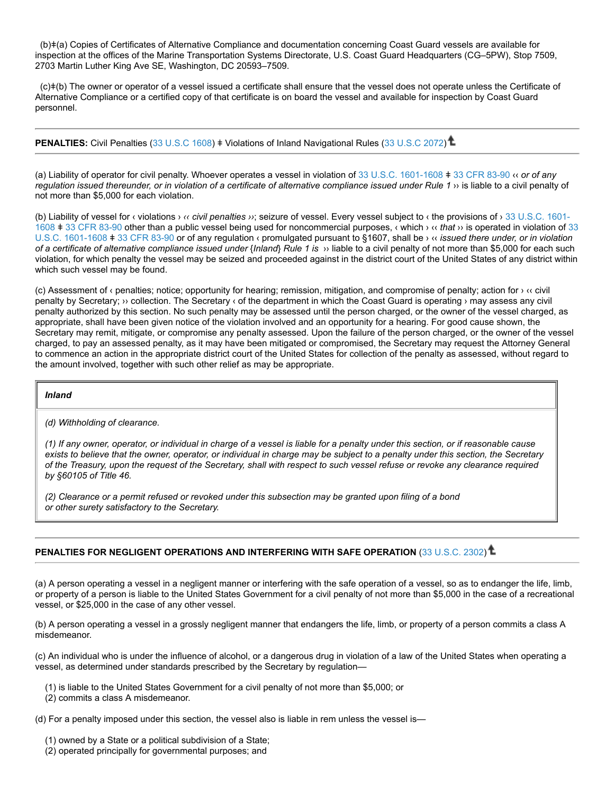(b)ǂ(a) Copies of Certificates of Alternative Compliance and documentation concerning Coast Guard vessels are available for inspection at the offices of the Marine Transportation Systems Directorate, U.S. Coast Guard Headquarters (CG–5PW), Stop 7509, 2703 Martin Luther King Ave SE, Washington, DC 20593–7509.

<span id="page-33-0"></span> (c)ǂ(b) The owner or operator of a vessel issued a certificate shall ensure that the vessel does not operate unless the Certificate of Alternative Compliance or a certified copy of that certificate is on board the vessel and available for inspection by Coast Guard personnel.

**PENALTIES:** Civil Penalties [\(33 U.S.C 1608](https://uscode.house.gov/view.xhtml?req=granuleid:USC-prelim-title33-section1608&num=0&edition=prelim)) ‡ Violations of Inland Navigational Rules ([33 U.S.C 2072](http://uscode.house.gov/view.xhtml?req=granuleid:USC-prelim-title33-section2072&num=0&edition=prelim)[\)](#page-0-0)<sup>1</sup>

(a) Liability of operator for civil penalty. Whoever operates a vessel in violation of [33 U.S.C. 1601-1608](https://uscode.house.gov/view.xhtml;jsessionid=432D2961857CBD0C0C88B24F1EBF5821?req=granuleid%3AUSC-prelim-title33-chapter30&saved=%7CZ3JhbnVsZWlkOlVTQy1wcmVsaW0tdGl0bGUzMy1zZWN0aW9uMTYwNw%3D%3D%7C%7C%7C0%7Cfalse%7Cprelim&edition=prelim) ǂ [33 CFR 83-90](https://www.ecfr.gov/cgi-bin/text-idx?SID=b03a5fa03ca8798609a7051c62e253c4&mc=true&tpl=/ecfrbrowse/Title33/33CIsubchapE.tpl) ‹‹ *or of any regulation issued thereunder, or in violation of a certificate of alternative compliance issued under Rule 1*  $\rightarrow$  is liable to a civil penalty of not more than \$5,000 for each violation.

(b) Liability of vessel for ‹ violations › *‹‹ civil penalties ››*[; seizure of vessel. Every vessel subject to ‹ the provisions of › 33 U.S.C. 1601-](https://uscode.house.gov/view.xhtml;jsessionid=432D2961857CBD0C0C88B24F1EBF5821?req=granuleid%3AUSC-prelim-title33-chapter30&saved=%7CZ3JhbnVsZWlkOlVTQy1wcmVsaW0tdGl0bGUzMy1zZWN0aW9uMTYwNw%3D%3D%7C%7C%7C0%7Cfalse%7Cprelim&edition=prelim) 1608 ǂ [33 CFR 83-90](https://www.ecfr.gov/cgi-bin/text-idx?SID=b03a5fa03ca8798609a7051c62e253c4&mc=true&tpl=/ecfrbrowse/Title33/33CIsubchapE.tpl) [other than a public vessel being used for noncommercial purposes, ‹ which ›](https://uscode.house.gov/view.xhtml;jsessionid=432D2961857CBD0C0C88B24F1EBF5821?req=granuleid%3AUSC-prelim-title33-chapter30&saved=%7CZ3JhbnVsZWlkOlVTQy1wcmVsaW0tdGl0bGUzMy1zZWN0aW9uMTYwNw%3D%3D%7C%7C%7C0%7Cfalse%7Cprelim&edition=prelim) ‹‹ *that* ›› is operated in violation of 33 U.S.C. 1601-1608 ǂ [33 CFR 83-90](https://www.ecfr.gov/cgi-bin/text-idx?SID=b03a5fa03ca8798609a7051c62e253c4&mc=true&tpl=/ecfrbrowse/Title33/33CIsubchapE.tpl) or of any regulation ‹ promulgated pursuant to §1607, shall be › ‹‹ *issued there under, or in violation of a certificate of alternative compliance issued under {<i>Inland*} *Rule 1* is  $\rightarrow$  liable to a civil penalty of not more than \$5,000 for each such violation, for which penalty the vessel may be seized and proceeded against in the district court of the United States of any district within which such vessel may be found.

(c) Assessment of ‹ penalties; notice; opportunity for hearing; remission, mitigation, and compromise of penalty; action for › ‹‹ civil penalty by Secretary; ›› collection. The Secretary ‹ of the department in which the Coast Guard is operating › may assess any civil penalty authorized by this section. No such penalty may be assessed until the person charged, or the owner of the vessel charged, as appropriate, shall have been given notice of the violation involved and an opportunity for a hearing. For good cause shown, the Secretary may remit, mitigate, or compromise any penalty assessed. Upon the failure of the person charged, or the owner of the vessel charged, to pay an assessed penalty, as it may have been mitigated or compromised, the Secretary may request the Attorney General to commence an action in the appropriate district court of the United States for collection of the penalty as assessed, without regard to the amount involved, together with such other relief as may be appropriate.

#### *Inland*

*(d) Withholding of clearance.*

*(1) If any owner, operator, or individual in charge of a vessel is liable for a penalty under this section, or if reasonable cause exists to believe that the owner, operator, or individual in charge may be subject to a penalty under this section, the Secretary of the Treasury, upon the request of the Secretary, shall with respect to such vessel refuse or revoke any clearance required by §60105 of Title 46.*

*(2) Clearance or a permit refused or revoked under this subsection may be granted upon filing of a bond or other surety satisfactory to the Secretary.*

# **PENALTIES FOR NEGLIGENT OPERATIONS AND INTERFERING WITH SAFE OPERATION [\(33 U.S.C. 2302\)](http://uscode.house.gov/view.xhtml?req=granuleid:USC-prelim-title46-section2302&num=0&edition=prelim)<sup>1</sup>**

(a) A person operating a vessel in a negligent manner or interfering with the safe operation of a vessel, so as to endanger the life, limb, or property of a person is liable to the United States Government for a civil penalty of not more than \$5,000 in the case of a recreational vessel, or \$25,000 in the case of any other vessel.

(b) A person operating a vessel in a grossly negligent manner that endangers the life, limb, or property of a person commits a class A misdemeanor.

(c) An individual who is under the influence of alcohol, or a dangerous drug in violation of a law of the United States when operating a vessel, as determined under standards prescribed by the Secretary by regulation—

- (1) is liable to the United States Government for a civil penalty of not more than \$5,000; or
- (2) commits a class A misdemeanor.

(d) For a penalty imposed under this section, the vessel also is liable in rem unless the vessel is—

- (1) owned by a State or a political subdivision of a State;
- (2) operated principally for governmental purposes; and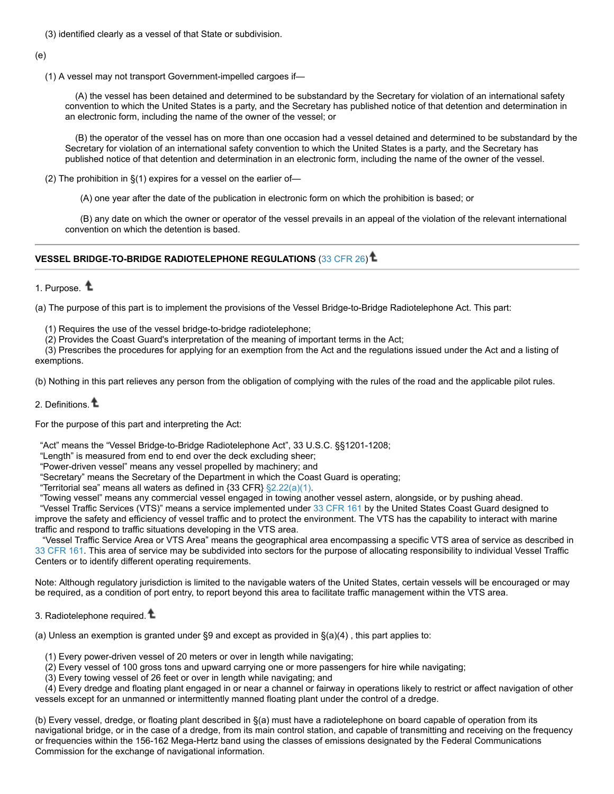(3) identified clearly as a vessel of that State or subdivision.

(e)

(1) A vessel may not transport Government-impelled cargoes if—

 (A) the vessel has been detained and determined to be substandard by the Secretary for violation of an international safety convention to which the United States is a party, and the Secretary has published notice of that detention and determination in an electronic form, including the name of the owner of the vessel; or

 (B) the operator of the vessel has on more than one occasion had a vessel detained and determined to be substandard by the Secretary for violation of an international safety convention to which the United States is a party, and the Secretary has published notice of that detention and determination in an electronic form, including the name of the owner of the vessel.

(2) The prohibition in  $\S(1)$  expires for a vessel on the earlier of-

<span id="page-34-0"></span>(A) one year after the date of the publication in electronic form on which the prohibition is based; or

 (B) any date on which the owner or operator of the vessel prevails in an appeal of the violation of the relevant international convention on which the detention is based.

# **VESSEL BRIDGE-TO-BRIDGE RADIOTELEPHONE REGULATIONS** ([33 CFR 26](https://www.ecfr.gov/cgi-bin/text-idx?SID=3f1421dc9fb9ba18e51aa131ae806704&mc=true&node=pt33.1.26&rgn=div5)[\)](#page-0-0)

## 1. Purpose. <sup>1</sup>

(a) The purpose of this part is to implement the provisions of the Vessel Bridge-to-Bridge Radiotelephone Act. This part:

(1) Requires the use of the vessel bridge-to-bridge radiotelephone;

(2) Provides the Coast Guard's interpretation of the meaning of important terms in the Act;

 (3) Prescribes the procedures for applying for an exemption from the Act and the regulations issued under the Act and a listing of exemptions.

(b) Nothing in this part relieves any person from the obligation of complying with the rules of the road and the applicable pilot rules.

### 2. Definitions.

For the purpose of this part and interpreting the Act:

"Act" means the "Vessel Bridge-to-Bridge Radiotelephone Act", 33 U.S.C. §§1201-1208;

"Length" is measured from end to end over the deck excluding sheer;

"Power-driven vessel" means any vessel propelled by machinery; and

"Secretary" means the Secretary of the Department in which the Coast Guard is operating;

"Territorial sea" means all waters as defined in  $\{33 \text{ CFR}\}\ \frac{\$2.22(a)(1)}{b}$ .

"Towing vessel" means any commercial vessel engaged in towing another vessel astern, alongside, or by pushing ahead.

 "Vessel Traffic Services (VTS)" means a service implemented under [33 CFR 161](https://www.ecfr.gov/cgi-bin/text-idx?SID=4a7916c6dc54c70f1b486e7d44bad992&tpl=/ecfrbrowse/Title33/33cfr161_main_02.tpl) by the United States Coast Guard designed to improve the safety and efficiency of vessel traffic and to protect the environment. The VTS has the capability to interact with marine traffic and respond to traffic situations developing in the VTS area.

 "Vessel Traffic Service Area or VTS Area" means the geographical area encompassing a specific VTS area of service as described in [33 CFR 161.](https://www.ecfr.gov/cgi-bin/text-idx?SID=4a7916c6dc54c70f1b486e7d44bad992&tpl=/ecfrbrowse/Title33/33cfr161_main_02.tpl) This area of service may be subdivided into sectors for the purpose of allocating responsibility to individual Vessel Traffic Centers or to identify different operating requirements.

Note: Although regulatory jurisdiction is limited to the navigable waters of the United States, certain vessels will be encouraged or may be required, as a condition of port entry, to report beyond this area to facilitate traffic management within the VTS area.

3. Radiotelephone required[.](#page-0-0)

(a) Unless an exemption is granted under §9 and except as provided in §(a)(4) , this part applies to:

(1) Every power-driven vessel of 20 meters or over in length while navigating;

(2) Every vessel of 100 gross tons and upward carrying one or more passengers for hire while navigating;

(3) Every towing vessel of 26 feet or over in length while navigating; and

 (4) Every dredge and floating plant engaged in or near a channel or fairway in operations likely to restrict or affect navigation of other vessels except for an unmanned or intermittently manned floating plant under the control of a dredge.

(b) Every vessel, dredge, or floating plant described in §(a) must have a radiotelephone on board capable of operation from its navigational bridge, or in the case of a dredge, from its main control station, and capable of transmitting and receiving on the frequency or frequencies within the 156-162 Mega-Hertz band using the classes of emissions designated by the Federal Communications Commission for the exchange of navigational information.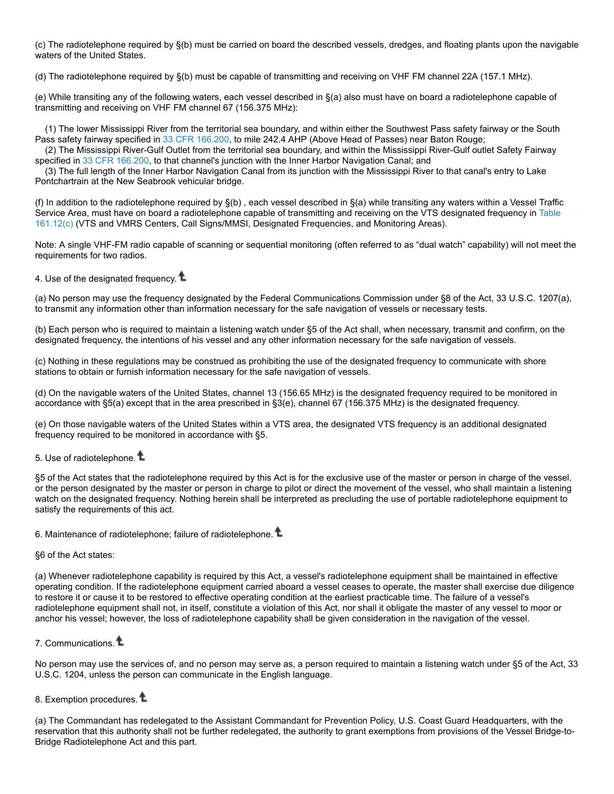(c) The radiotelephone required by §(b) must be carried on board the described vessels, dredges, and floating plants upon the navigable waters of the United States.

(d) The radiotelephone required by §(b) must be capable of transmitting and receiving on VHF FM channel 22A (157.1 MHz).

(e) While transiting any of the following waters, each vessel described in §(a) also must have on board a radiotelephone capable of transmitting and receiving on VHF FM channel 67 (156.375 MHz):

 (1) The lower Mississippi River from the territorial sea boundary, and within either the Southwest Pass safety fairway or the South Pass safety fairway specified in [33 CFR 166.200](https://www.ecfr.gov/cgi-bin/text-idx?SID=5b885e91ee8562d233338bfea461ebaf&mc=true&node=pt33.2.166&rgn=div5#se33.2.166_1200), to mile 242.4 AHP (Above Head of Passes) near Baton Rouge;

 (2) The Mississippi River-Gulf Outlet from the territorial sea boundary, and within the Mississippi River-Gulf outlet Safety Fairway specified in [33 CFR 166.200](https://www.ecfr.gov/cgi-bin/text-idx?SID=5b885e91ee8562d233338bfea461ebaf&mc=true&node=pt33.2.166&rgn=div5#se33.2.166_1200), to that channel's junction with the Inner Harbor Navigation Canal; and

 (3) The full length of the Inner Harbor Navigation Canal from its junction with the Mississippi River to that canal's entry to Lake Pontchartrain at the New Seabrook vehicular bridge.

(f) In addition to the radiotelephone required by §(b) , each vessel described in §(a) while transiting any waters within a Vessel Traffic [Service Area, must have on board a radiotelephone capable of transmitting and receiving on the VTS designated frequency in Table](https://www.ecfr.gov/cgi-bin/text-idx?SID=3f1421dc9fb9ba18e51aa131ae806704&mc=true&node=se33.2.161_112&rgn=div8) 161.12(c) (VTS and VMRS Centers, Call Signs/MMSI, Designated Frequencies, and Monitoring Areas).

Note: A single VHF-FM radio capable of scanning or sequential monitoring (often referred to as "dual watch" capability) will not meet the requirements for two radios.

4. Use of the designated frequency.

(a) No person may use the frequency designated by the Federal Communications Commission under §8 of the Act, 33 U.S.C. 1207(a), to transmit any information other than information necessary for the safe navigation of vessels or necessary tests.

(b) Each person who is required to maintain a listening watch under §5 of the Act shall, when necessary, transmit and confirm, on the designated frequency, the intentions of his vessel and any other information necessary for the safe navigation of vessels.

(c) Nothing in these regulations may be construed as prohibiting the use of the designated frequency to communicate with shore stations to obtain or furnish information necessary for the safe navigation of vessels.

(d) On the navigable waters of the United States, channel 13 (156.65 MHz) is the designated frequency required to be monitored in accordance with §5(a) except that in the area prescribed in §3(e), channel 67 (156.375 MHz) is the designated frequency.

(e) On those navigable waters of the United States within a VTS area, the designated VTS frequency is an additional designated frequency required to be monitored in accordance with §5.

### 5. Use of radiotelephone.  $\triangle$

§5 of the Act states that the radiotelephone required by this Act is for the exclusive use of the master or person in charge of the vessel, or the person designated by the master or person in charge to pilot or direct the movement of the vessel, who shall maintain a listening watch on the designated frequency. Nothing herein shall be interpreted as precluding the use of portable radiotelephone equipment to satisfy the requirements of this act.

### 6. Maintenance of radiotelephone; failure of radiotelephone.

### §6 of the Act states:

(a) Whenever radiotelephone capability is required by this Act, a vessel's radiotelephone equipment shall be maintained in effective operating condition. If the radiotelephone equipment carried aboard a vessel ceases to operate, the master shall exercise due diligence to restore it or cause it to be restored to effective operating condition at the earliest practicable time. The failure of a vessel's radiotelephone equipment shall not, in itself, constitute a violation of this Act, nor shall it obligate the master of any vessel to moor or anchor his vessel; however, the loss of radiotelephone capability shall be given consideration in the navigation of the vessel.

## 7. Communications.<sup>1</sup>

No person may use the services of, and no person may serve as, a person required to maintain a listening watch under §5 of the Act, 33 U.S.C. 1204, unless the person can communicate in the English language.

### 8. Exemption procedures. <sup>1</sup>

(a) The Commandant has redelegated to the Assistant Commandant for Prevention Policy, U.S. Coast Guard Headquarters, with the reservation that this authority shall not be further redelegated, the authority to grant exemptions from provisions of the Vessel Bridge-to-Bridge Radiotelephone Act and this part.